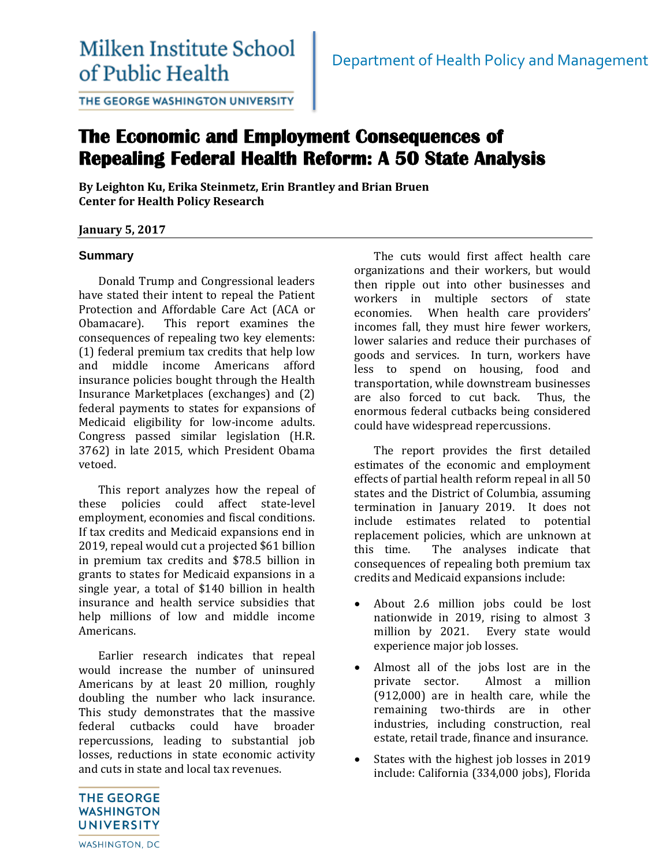# Milken Institute School of Public Health

THE GEORGE WASHINGTON UNIVERSITY

# **The Economic and Employment Consequences of Repealing Federal Health Reform: A 50 State Analysis**

**By Leighton Ku, Erika Steinmetz, Erin Brantley and Brian Bruen Center for Health Policy Research** 

# **January 5, 2017**

#### **Summary**

Donald Trump and Congressional leaders have stated their intent to repeal the Patient Protection and Affordable Care Act (ACA or Obamacare). This report examines the consequences of repealing two key elements: (1) federal premium tax credits that help low and middle income Americans afford insurance policies bought through the Health Insurance Marketplaces (exchanges) and (2) federal payments to states for expansions of Medicaid eligibility for low-income adults. Congress passed similar legislation (H.R. 3762) in late 2015, which President Obama vetoed.

This report analyzes how the repeal of these policies could affect state-level employment, economies and fiscal conditions. If tax credits and Medicaid expansions end in 2019, repeal would cut a projected \$61 billion in premium tax credits and \$78.5 billion in grants to states for Medicaid expansions in a single year, a total of \$140 billion in health insurance and health service subsidies that help millions of low and middle income Americans.

Earlier research indicates that repeal would increase the number of uninsured Americans by at least 20 million, roughly doubling the number who lack insurance. This study demonstrates that the massive federal cutbacks could have broader repercussions, leading to substantial job losses, reductions in state economic activity and cuts in state and local tax revenues.

The cuts would first affect health care organizations and their workers, but would then ripple out into other businesses and workers in multiple sectors of state economies. When health care providers' incomes fall, they must hire fewer workers, lower salaries and reduce their purchases of goods and services. In turn, workers have less to spend on housing, food and transportation, while downstream businesses are also forced to cut back. Thus, the enormous federal cutbacks being considered could have widespread repercussions.

The report provides the first detailed estimates of the economic and employment effects of partial health reform repeal in all 50 states and the District of Columbia, assuming termination in January 2019. It does not include estimates related to potential replacement policies, which are unknown at this time. The analyses indicate that consequences of repealing both premium tax credits and Medicaid expansions include:

- About 2.6 million jobs could be lost nationwide in 2019, rising to almost 3 million by 2021. Every state would experience major job losses.
- Almost all of the jobs lost are in the private sector. Almost a million (912,000) are in health care, while the remaining two-thirds are in other industries, including construction, real estate, retail trade, finance and insurance.
- States with the highest job losses in 2019 include: California (334,000 jobs), Florida

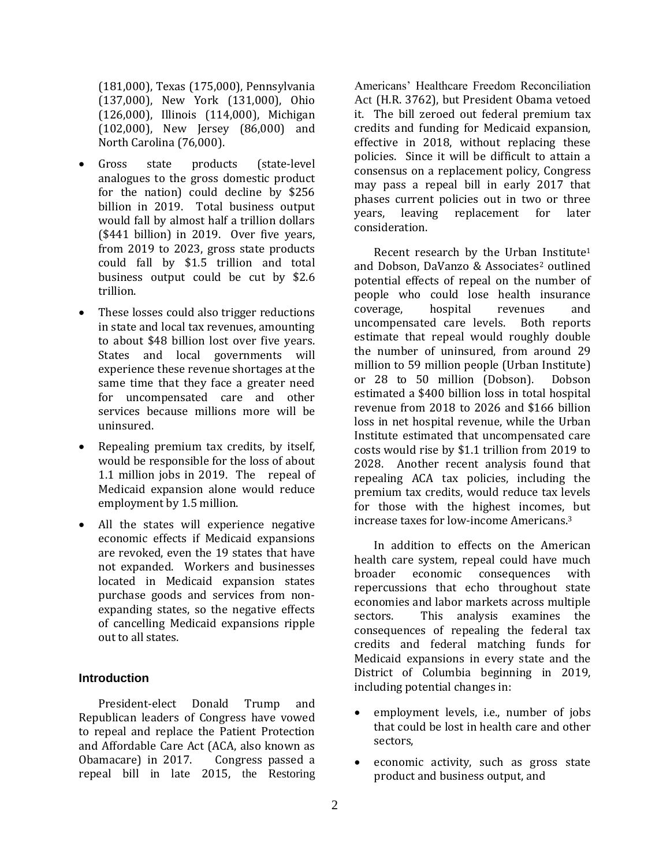(181,000), Texas (175,000), Pennsylvania (137,000), New York (131,000), Ohio (126,000), Illinois (114,000), Michigan (102,000), New Jersey (86,000) and North Carolina (76,000).

- Gross state products (state-level analogues to the gross domestic product for the nation) could decline by \$256 billion in 2019. Total business output would fall by almost half a trillion dollars (\$441 billion) in 2019. Over five years, from 2019 to 2023, gross state products could fall by \$1.5 trillion and total business output could be cut by \$2.6 trillion.
- These losses could also trigger reductions in state and local tax revenues, amounting to about \$48 billion lost over five years. States and local governments will experience these revenue shortages at the same time that they face a greater need for uncompensated care and other services because millions more will be uninsured.
- Repealing premium tax credits, by itself, would be responsible for the loss of about 1.1 million jobs in 2019. The repeal of Medicaid expansion alone would reduce employment by 1.5 million.
- All the states will experience negative economic effects if Medicaid expansions are revoked, even the 19 states that have not expanded. Workers and businesses located in Medicaid expansion states purchase goods and services from nonexpanding states, so the negative effects of cancelling Medicaid expansions ripple out to all states.

#### **Introduction**

President-elect Donald Trump and Republican leaders of Congress have vowed to repeal and replace the Patient Protection and Affordable Care Act (ACA, also known as Obamacare) in 2017. Congress passed a repeal bill in late 2015, the Restoring

Americans' Healthcare Freedom Reconciliation Act (H.R. 3762), but President Obama vetoed it. The bill zeroed out federal premium tax credits and funding for Medicaid expansion, effective in 2018, without replacing these policies. Since it will be difficult to attain a consensus on a replacement policy, Congress may pass a repeal bill in early 2017 that phases current policies out in two or three years, leaving replacement for later consideration.

Recent research by the Urban Institute<sup>1</sup> and Dobson, DaVanzo & Associates<sup>2</sup> outlined potential effects of repeal on the number of people who could lose health insurance coverage, hospital revenues and uncompensated care levels. Both reports estimate that repeal would roughly double the number of uninsured, from around 29 million to 59 million people (Urban Institute) or 28 to 50 million (Dobson). Dobson estimated a \$400 billion loss in total hospital revenue from 2018 to 2026 and \$166 billion loss in net hospital revenue, while the Urban Institute estimated that uncompensated care costs would rise by \$1.1 trillion from 2019 to 2028. Another recent analysis found that repealing ACA tax policies, including the premium tax credits, would reduce tax levels for those with the highest incomes, but increase taxes for low-income Americans.<sup>3</sup>

In addition to effects on the American health care system, repeal could have much broader economic consequences with repercussions that echo throughout state economies and labor markets across multiple sectors. This analysis examines the consequences of repealing the federal tax credits and federal matching funds for Medicaid expansions in every state and the District of Columbia beginning in 2019, including potential changes in:

- employment levels, i.e., number of jobs that could be lost in health care and other sectors,
- economic activity, such as gross state product and business output, and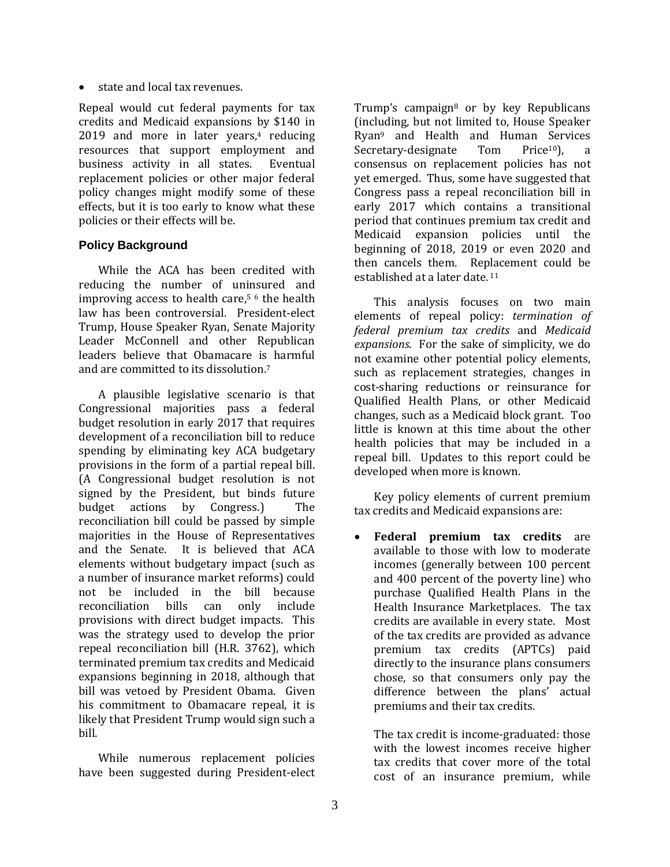state and local tax revenues.

Repeal would cut federal payments for tax credits and Medicaid expansions by \$140 in 2019 and more in later years, <sup>4</sup> reducing resources that support employment and business activity in all states. Eventual replacement policies or other major federal policy changes might modify some of these effects, but it is too early to know what these policies or their effects will be.

# **Policy Background**

While the ACA has been credited with reducing the number of uninsured and improving access to health care, <sup>5</sup> <sup>6</sup> the health law has been controversial. President-elect Trump, House Speaker Ryan, Senate Majority Leader McConnell and other Republican leaders believe that Obamacare is harmful and are committed to its dissolution.<sup>7</sup>

A plausible legislative scenario is that Congressional majorities pass a federal budget resolution in early 2017 that requires development of a reconciliation bill to reduce spending by eliminating key ACA budgetary provisions in the form of a partial repeal bill. (A Congressional budget resolution is not signed by the President, but binds future budget actions by Congress.) The reconciliation bill could be passed by simple majorities in the House of Representatives and the Senate. It is believed that ACA elements without budgetary impact (such as a number of insurance market reforms) could not be included in the bill because reconciliation bills can only include provisions with direct budget impacts. This was the strategy used to develop the prior repeal reconciliation bill (H.R. 3762), which terminated premium tax credits and Medicaid expansions beginning in 2018, although that bill was vetoed by President Obama. Given his commitment to Obamacare repeal, it is likely that President Trump would sign such a bill.

While numerous replacement policies have been suggested during President-elect Trump's campaign<sup>8</sup> or by key Republicans (including, but not limited to, House Speaker Ryan<sup>9</sup> and Health and Human Services Secretary-designate Tom Price<sup>10</sup>), a consensus on replacement policies has not yet emerged. Thus, some have suggested that Congress pass a repeal reconciliation bill in early 2017 which contains a transitional period that continues premium tax credit and Medicaid expansion policies until the beginning of 2018, 2019 or even 2020 and then cancels them. Replacement could be established at a later date. <sup>11</sup>

This analysis focuses on two main elements of repeal policy: *termination of federal premium tax credits* and *Medicaid expansions*. For the sake of simplicity, we do not examine other potential policy elements, such as replacement strategies, changes in cost-sharing reductions or reinsurance for Qualified Health Plans, or other Medicaid changes, such as a Medicaid block grant. Too little is known at this time about the other health policies that may be included in a repeal bill. Updates to this report could be developed when more is known.

Key policy elements of current premium tax credits and Medicaid expansions are:

 **Federal premium tax credits** are available to those with low to moderate incomes (generally between 100 percent and 400 percent of the poverty line) who purchase Qualified Health Plans in the Health Insurance Marketplaces. The tax credits are available in every state. Most of the tax credits are provided as advance premium tax credits (APTCs) paid directly to the insurance plans consumers chose, so that consumers only pay the difference between the plans' actual premiums and their tax credits.

The tax credit is income-graduated: those with the lowest incomes receive higher tax credits that cover more of the total cost of an insurance premium, while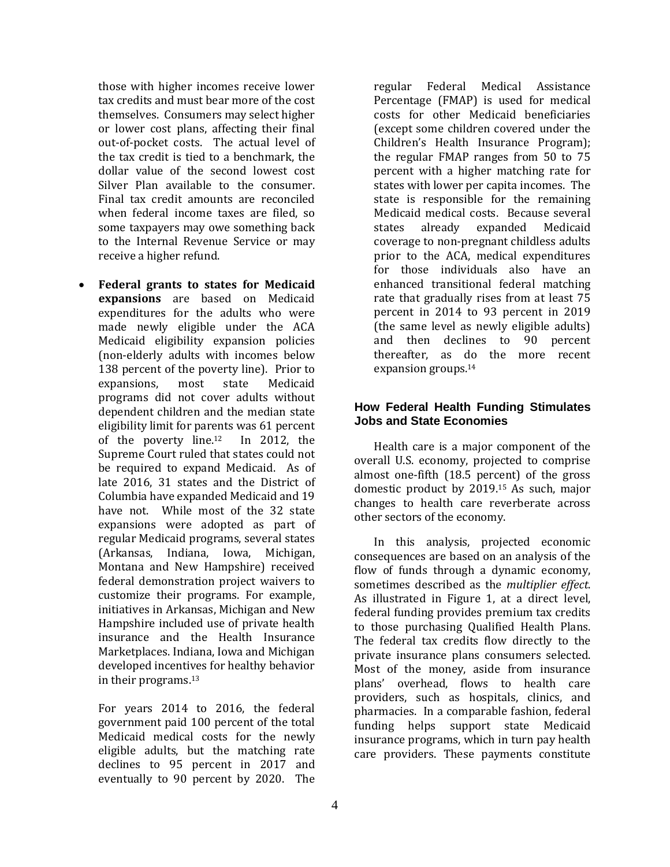those with higher incomes receive lower tax credits and must bear more of the cost themselves. Consumers may select higher or lower cost plans, affecting their final out-of-pocket costs. The actual level of the tax credit is tied to a benchmark, the dollar value of the second lowest cost Silver Plan available to the consumer. Final tax credit amounts are reconciled when federal income taxes are filed, so some taxpayers may owe something back to the Internal Revenue Service or may receive a higher refund.

 **Federal grants to states for Medicaid expansions** are based on Medicaid expenditures for the adults who were made newly eligible under the ACA Medicaid eligibility expansion policies (non-elderly adults with incomes below 138 percent of the poverty line). Prior to expansions, most state Medicaid programs did not cover adults without dependent children and the median state eligibility limit for parents was 61 percent of the poverty line.12 In 2012, the Supreme Court ruled that states could not be required to expand Medicaid. As of late 2016, 31 states and the District of Columbia have expanded Medicaid and 19 have not. While most of the 32 state expansions were adopted as part of regular Medicaid programs, several states (Arkansas, Indiana, Iowa, Michigan, Montana and New Hampshire) received federal demonstration project waivers to customize their programs. For example, initiatives in Arkansas, Michigan and New Hampshire included use of private health insurance and the Health Insurance Marketplaces. Indiana, Iowa and Michigan developed incentives for healthy behavior in their programs.<sup>13</sup>

For years 2014 to 2016, the federal government paid 100 percent of the total Medicaid medical costs for the newly eligible adults, but the matching rate declines to 95 percent in 2017 and eventually to 90 percent by 2020. The

regular Federal Medical Assistance Percentage (FMAP) is used for medical costs for other Medicaid beneficiaries (except some children covered under the Children's Health Insurance Program); the regular FMAP ranges from 50 to 75 percent with a higher matching rate for states with lower per capita incomes. The state is responsible for the remaining Medicaid medical costs. Because several states already expanded Medicaid coverage to non-pregnant childless adults prior to the ACA, medical expenditures for those individuals also have an enhanced transitional federal matching rate that gradually rises from at least 75 percent in 2014 to 93 percent in 2019 (the same level as newly eligible adults) and then declines to 90 percent thereafter, as do the more recent expansion groups.<sup>14</sup>

#### **How Federal Health Funding Stimulates Jobs and State Economies**

Health care is a major component of the overall U.S. economy, projected to comprise almost one-fifth (18.5 percent) of the gross domestic product by 2019.<sup>15</sup> As such, major changes to health care reverberate across other sectors of the economy.

In this analysis, projected economic consequences are based on an analysis of the flow of funds through a dynamic economy, sometimes described as the *multiplier effect*. As illustrated in Figure 1, at a direct level, federal funding provides premium tax credits to those purchasing Qualified Health Plans. The federal tax credits flow directly to the private insurance plans consumers selected. Most of the money, aside from insurance plans' overhead, flows to health care providers, such as hospitals, clinics, and pharmacies. In a comparable fashion, federal funding helps support state Medicaid insurance programs, which in turn pay health care providers. These payments constitute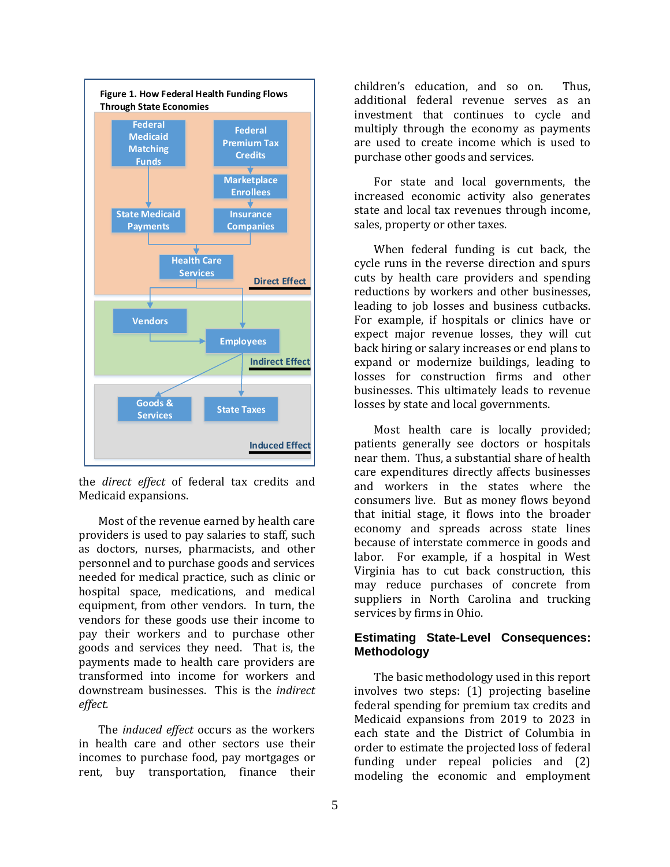

the *direct effect* of federal tax credits and Medicaid expansions.

Most of the revenue earned by health care providers is used to pay salaries to staff, such as doctors, nurses, pharmacists, and other personnel and to purchase goods and services needed for medical practice, such as clinic or hospital space, medications, and medical equipment, from other vendors. In turn, the vendors for these goods use their income to pay their workers and to purchase other goods and services they need. That is, the payments made to health care providers are transformed into income for workers and downstream businesses. This is the *indirect effect.* 

The *induced effect* occurs as the workers in health care and other sectors use their incomes to purchase food, pay mortgages or rent, buy transportation, finance their

children's education, and so on. Thus, additional federal revenue serves as an investment that continues to cycle and multiply through the economy as payments are used to create income which is used to purchase other goods and services.

For state and local governments, the increased economic activity also generates state and local tax revenues through income, sales, property or other taxes.

When federal funding is cut back, the cycle runs in the reverse direction and spurs cuts by health care providers and spending reductions by workers and other businesses, leading to job losses and business cutbacks. For example, if hospitals or clinics have or expect major revenue losses, they will cut back hiring or salary increases or end plans to expand or modernize buildings, leading to losses for construction firms and other businesses. This ultimately leads to revenue losses by state and local governments.

Most health care is locally provided; patients generally see doctors or hospitals near them. Thus, a substantial share of health care expenditures directly affects businesses and workers in the states where the consumers live. But as money flows beyond that initial stage, it flows into the broader economy and spreads across state lines because of interstate commerce in goods and labor. For example, if a hospital in West Virginia has to cut back construction, this may reduce purchases of concrete from suppliers in North Carolina and trucking services by firms in Ohio.

#### **Estimating State-Level Consequences: Methodology**

The basic methodology used in this report involves two steps: (1) projecting baseline federal spending for premium tax credits and Medicaid expansions from 2019 to 2023 in each state and the District of Columbia in order to estimate the projected loss of federal funding under repeal policies and (2) modeling the economic and employment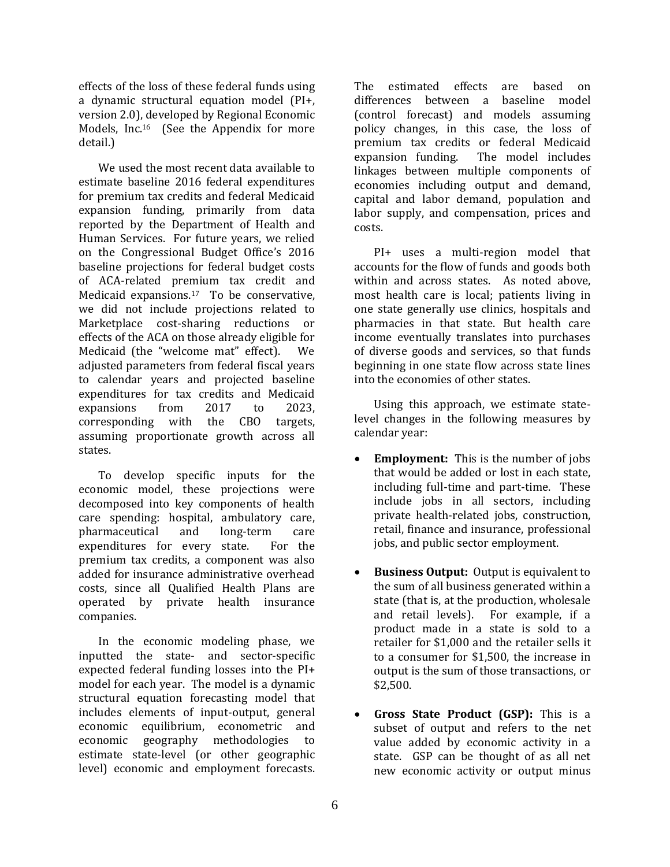effects of the loss of these federal funds using a dynamic structural equation model (PI+, version 2.0), developed by Regional Economic Models, Inc.16 (See the Appendix for more detail.)

We used the most recent data available to estimate baseline 2016 federal expenditures for premium tax credits and federal Medicaid expansion funding, primarily from data reported by the Department of Health and Human Services. For future years, we relied on the Congressional Budget Office's 2016 baseline projections for federal budget costs of ACA-related premium tax credit and Medicaid expansions.17 To be conservative, we did not include projections related to Marketplace cost-sharing reductions or effects of the ACA on those already eligible for Medicaid (the "welcome mat" effect). We adjusted parameters from federal fiscal years to calendar years and projected baseline expenditures for tax credits and Medicaid expansions from 2017 to 2023, corresponding with the CBO targets, assuming proportionate growth across all states.

To develop specific inputs for the economic model, these projections were decomposed into key components of health care spending: hospital, ambulatory care, pharmaceutical and long-term care expenditures for every state. For the premium tax credits, a component was also added for insurance administrative overhead costs, since all Qualified Health Plans are operated by private health insurance companies.

In the economic modeling phase, we inputted the state- and sector-specific expected federal funding losses into the PI+ model for each year. The model is a dynamic structural equation forecasting model that includes elements of input-output, general economic equilibrium, econometric and economic geography methodologies to estimate state-level (or other geographic level) economic and employment forecasts.

The estimated effects are based on differences between a baseline model (control forecast) and models assuming policy changes, in this case, the loss of premium tax credits or federal Medicaid expansion funding. The model includes linkages between multiple components of economies including output and demand, capital and labor demand, population and labor supply, and compensation, prices and costs.

PI+ uses a multi-region model that accounts for the flow of funds and goods both within and across states. As noted above, most health care is local; patients living in one state generally use clinics, hospitals and pharmacies in that state. But health care income eventually translates into purchases of diverse goods and services, so that funds beginning in one state flow across state lines into the economies of other states.

Using this approach, we estimate statelevel changes in the following measures by calendar year:

- **Employment:** This is the number of jobs that would be added or lost in each state, including full-time and part-time. These include jobs in all sectors, including private health-related jobs, construction, retail, finance and insurance, professional jobs, and public sector employment.
- **Business Output:** Output is equivalent to the sum of all business generated within a state (that is, at the production, wholesale and retail levels). For example, if a product made in a state is sold to a retailer for \$1,000 and the retailer sells it to a consumer for \$1,500, the increase in output is the sum of those transactions, or \$2,500.
- **Gross State Product (GSP):** This is a subset of output and refers to the net value added by economic activity in a state. GSP can be thought of as all net new economic activity or output minus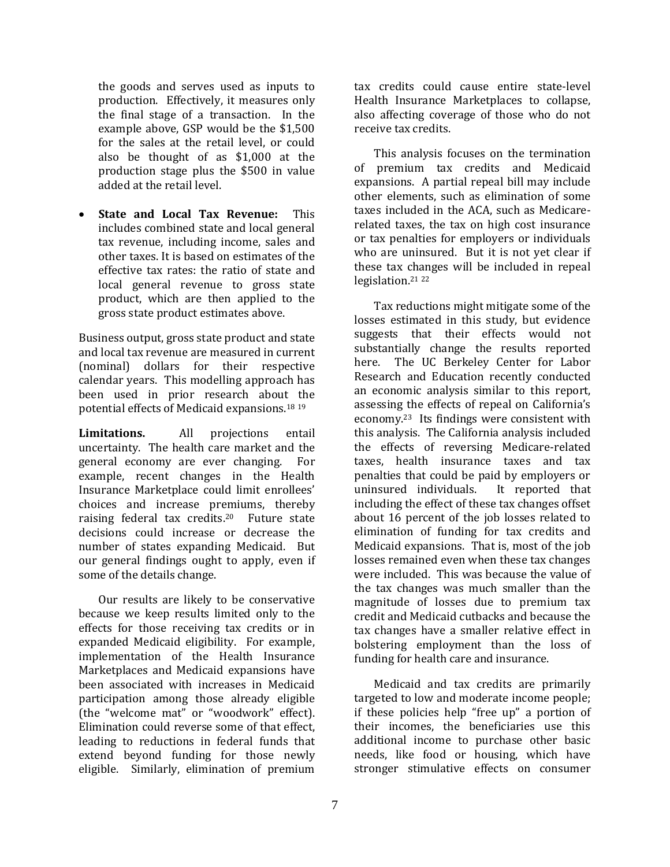the goods and serves used as inputs to production. Effectively, it measures only the final stage of a transaction. In the example above, GSP would be the \$1,500 for the sales at the retail level, or could also be thought of as \$1,000 at the production stage plus the \$500 in value added at the retail level.

 **State and Local Tax Revenue:** This includes combined state and local general tax revenue, including income, sales and other taxes. It is based on estimates of the effective tax rates: the ratio of state and local general revenue to gross state product, which are then applied to the gross state product estimates above.

Business output, gross state product and state and local tax revenue are measured in current (nominal) dollars for their respective calendar years. This modelling approach has been used in prior research about the potential effects of Medicaid expansions.<sup>18</sup> <sup>19</sup>

**Limitations.** All projections entail uncertainty. The health care market and the general economy are ever changing. For example, recent changes in the Health Insurance Marketplace could limit enrollees' choices and increase premiums, thereby raising federal tax credits.20 Future state decisions could increase or decrease the number of states expanding Medicaid. But our general findings ought to apply, even if some of the details change.

Our results are likely to be conservative because we keep results limited only to the effects for those receiving tax credits or in expanded Medicaid eligibility. For example, implementation of the Health Insurance Marketplaces and Medicaid expansions have been associated with increases in Medicaid participation among those already eligible (the "welcome mat" or "woodwork" effect). Elimination could reverse some of that effect, leading to reductions in federal funds that extend beyond funding for those newly eligible. Similarly, elimination of premium

tax credits could cause entire state-level Health Insurance Marketplaces to collapse, also affecting coverage of those who do not receive tax credits.

This analysis focuses on the termination of premium tax credits and Medicaid expansions. A partial repeal bill may include other elements, such as elimination of some taxes included in the ACA, such as Medicarerelated taxes, the tax on high cost insurance or tax penalties for employers or individuals who are uninsured. But it is not yet clear if these tax changes will be included in repeal legislation. 21 22

Tax reductions might mitigate some of the losses estimated in this study, but evidence suggests that their effects would not substantially change the results reported here. The UC Berkeley Center for Labor Research and Education recently conducted an economic analysis similar to this report, assessing the effects of repeal on California's economy. <sup>23</sup> Its findings were consistent with this analysis. The California analysis included the effects of reversing Medicare-related taxes, health insurance taxes and tax penalties that could be paid by employers or uninsured individuals. It reported that including the effect of these tax changes offset about 16 percent of the job losses related to elimination of funding for tax credits and Medicaid expansions. That is, most of the job losses remained even when these tax changes were included. This was because the value of the tax changes was much smaller than the magnitude of losses due to premium tax credit and Medicaid cutbacks and because the tax changes have a smaller relative effect in bolstering employment than the loss of funding for health care and insurance.

Medicaid and tax credits are primarily targeted to low and moderate income people; if these policies help "free up" a portion of their incomes, the beneficiaries use this additional income to purchase other basic needs, like food or housing, which have stronger stimulative effects on consumer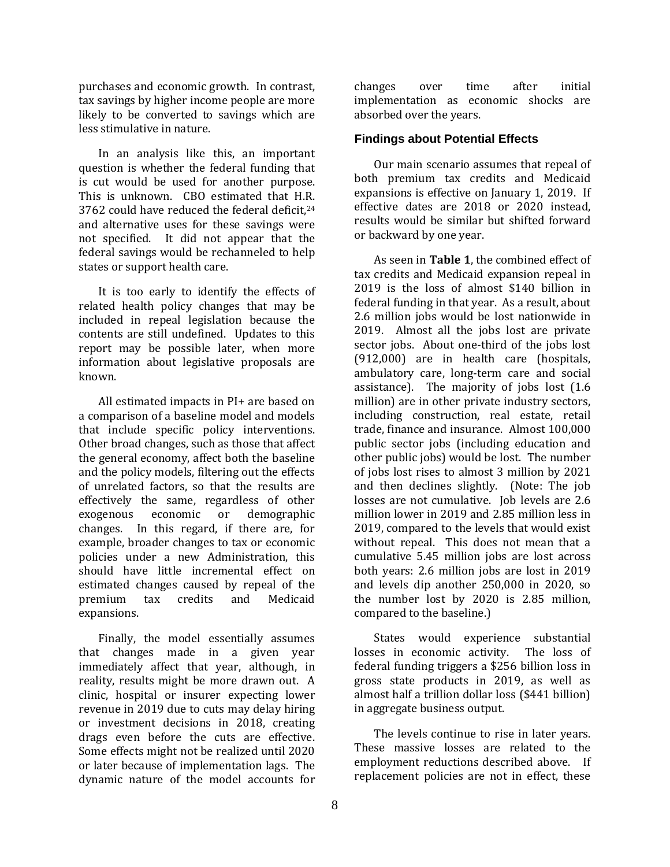purchases and economic growth. In contrast, tax savings by higher income people are more likely to be converted to savings which are less stimulative in nature.

In an analysis like this, an important question is whether the federal funding that is cut would be used for another purpose. This is unknown. CBO estimated that H.R. 3762 could have reduced the federal deficit,<sup>24</sup> and alternative uses for these savings were not specified. It did not appear that the federal savings would be rechanneled to help states or support health care.

It is too early to identify the effects of related health policy changes that may be included in repeal legislation because the contents are still undefined. Updates to this report may be possible later, when more information about legislative proposals are known.

All estimated impacts in PI+ are based on a comparison of a baseline model and models that include specific policy interventions. Other broad changes, such as those that affect the general economy, affect both the baseline and the policy models, filtering out the effects of unrelated factors, so that the results are effectively the same, regardless of other exogenous economic or demographic changes. In this regard, if there are, for example, broader changes to tax or economic policies under a new Administration, this should have little incremental effect on estimated changes caused by repeal of the premium tax credits and Medicaid expansions.

Finally, the model essentially assumes that changes made in a given year immediately affect that year, although, in reality, results might be more drawn out. A clinic, hospital or insurer expecting lower revenue in 2019 due to cuts may delay hiring or investment decisions in 2018, creating drags even before the cuts are effective. Some effects might not be realized until 2020 or later because of implementation lags. The dynamic nature of the model accounts for

changes over time after initial implementation as economic shocks are absorbed over the years.

#### **Findings about Potential Effects**

Our main scenario assumes that repeal of both premium tax credits and Medicaid expansions is effective on January 1, 2019. If effective dates are 2018 or 2020 instead, results would be similar but shifted forward or backward by one year.

As seen in **Table 1**, the combined effect of tax credits and Medicaid expansion repeal in 2019 is the loss of almost \$140 billion in federal funding in that year. As a result, about 2.6 million jobs would be lost nationwide in 2019. Almost all the jobs lost are private sector jobs. About one-third of the jobs lost (912,000) are in health care (hospitals, ambulatory care, long-term care and social assistance). The majority of jobs lost (1.6 million) are in other private industry sectors, including construction, real estate, retail trade, finance and insurance. Almost 100,000 public sector jobs (including education and other public jobs) would be lost. The number of jobs lost rises to almost 3 million by 2021 and then declines slightly. (Note: The job losses are not cumulative. Job levels are 2.6 million lower in 2019 and 2.85 million less in 2019, compared to the levels that would exist without repeal. This does not mean that a cumulative 5.45 million jobs are lost across both years: 2.6 million jobs are lost in 2019 and levels dip another 250,000 in 2020, so the number lost by 2020 is 2.85 million, compared to the baseline.)

States would experience substantial losses in economic activity. The loss of federal funding triggers a \$256 billion loss in gross state products in 2019, as well as almost half a trillion dollar loss (\$441 billion) in aggregate business output.

The levels continue to rise in later years. These massive losses are related to the employment reductions described above. If replacement policies are not in effect, these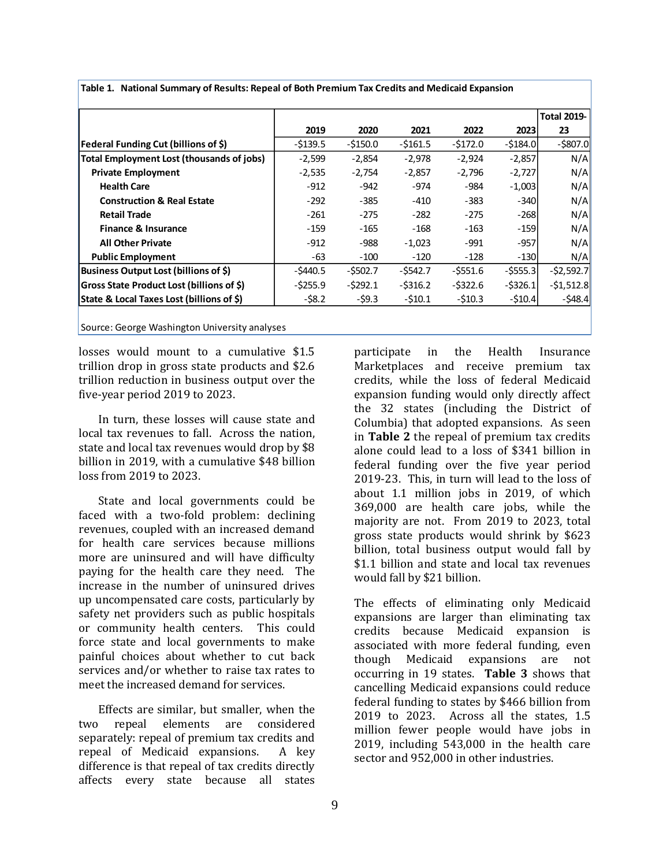|                                                  |             |           |             |             |             | <b>Total 2019-</b> |
|--------------------------------------------------|-------------|-----------|-------------|-------------|-------------|--------------------|
|                                                  | 2019        | 2020      | 2021        | 2022        | 2023        | 23                 |
| Federal Funding Cut (billions of \$)             | $-5139.5$   | $-$150.0$ | $-5161.5$   | $-5172.0$   | $-5184.0$   | $-$ \$807.0        |
| <b>Total Employment Lost (thousands of jobs)</b> | $-2,599$    | $-2,854$  | $-2,978$    | $-2,924$    | $-2,857$    | N/A                |
| <b>Private Employment</b>                        | $-2,535$    | $-2,754$  | $-2,857$    | $-2,796$    | $-2,727$    | N/A                |
| <b>Health Care</b>                               | $-912$      | $-942$    | -974        | -984        | $-1,003$    | N/A                |
| <b>Construction &amp; Real Estate</b>            | $-292$      | $-385$    | $-410$      | $-383$      | $-340$      | N/A                |
| <b>Retail Trade</b>                              | $-261$      | $-275$    | $-282$      | $-275$      | $-268$      | N/A                |
| Finance & Insurance                              | $-159$      | $-165$    | $-168$      | $-163$      | $-159$      | N/A                |
| <b>All Other Private</b>                         | $-912$      | -988      | $-1,023$    | $-991$      | $-957$      | N/A                |
| <b>Public Employment</b>                         | -63         | $-100$    | $-120$      | $-128$      | $-130$      | N/A                |
| Business Output Lost (billions of \$)            | $-5440.5$   | $-5502.7$ | $-$ \$542.7 | $-$ \$551.6 | $-$ \$555.3 | $-52,592.7$        |
| Gross State Product Lost (billions of \$)        | $-$ \$255.9 | $-5292.1$ | $-$ \$316.2 | $-5322.6$   | $-5326.1$   | $-51,512.8$        |
| State & Local Taxes Lost (billions of \$)        | $-58.2$     | $-59.3$   | $-510.1$    | $-510.3$    | $-510.4$    | $-548.4$           |

**Table 1. National Summary of Results: Repeal of Both Premium Tax Credits and Medicaid Expansion**

Source: George Washington University analyses

losses would mount to a cumulative \$1.5 trillion drop in gross state products and \$2.6 trillion reduction in business output over the five-year period 2019 to 2023.

In turn, these losses will cause state and local tax revenues to fall. Across the nation, state and local tax revenues would drop by \$8 billion in 2019, with a cumulative \$48 billion loss from 2019 to 2023.

State and local governments could be faced with a two-fold problem: declining revenues, coupled with an increased demand for health care services because millions more are uninsured and will have difficulty paying for the health care they need. The increase in the number of uninsured drives up uncompensated care costs, particularly by safety net providers such as public hospitals or community health centers. This could force state and local governments to make painful choices about whether to cut back services and/or whether to raise tax rates to meet the increased demand for services.

Effects are similar, but smaller, when the two repeal elements are considered separately: repeal of premium tax credits and repeal of Medicaid expansions. A key difference is that repeal of tax credits directly affects every state because all states

participate in the Health Insurance Marketplaces and receive premium tax credits, while the loss of federal Medicaid expansion funding would only directly affect the 32 states (including the District of Columbia) that adopted expansions. As seen in **Table 2** the repeal of premium tax credits alone could lead to a loss of \$341 billion in federal funding over the five year period 2019-23. This, in turn will lead to the loss of about 1.1 million jobs in 2019, of which 369,000 are health care jobs, while the majority are not. From 2019 to 2023, total gross state products would shrink by \$623 billion, total business output would fall by \$1.1 billion and state and local tax revenues would fall by \$21 billion.

The effects of eliminating only Medicaid expansions are larger than eliminating tax credits because Medicaid expansion is associated with more federal funding, even though Medicaid expansions are not occurring in 19 states. **Table 3** shows that cancelling Medicaid expansions could reduce federal funding to states by \$466 billion from 2019 to 2023. Across all the states, 1.5 million fewer people would have jobs in 2019, including 543,000 in the health care sector and 952,000 in other industries.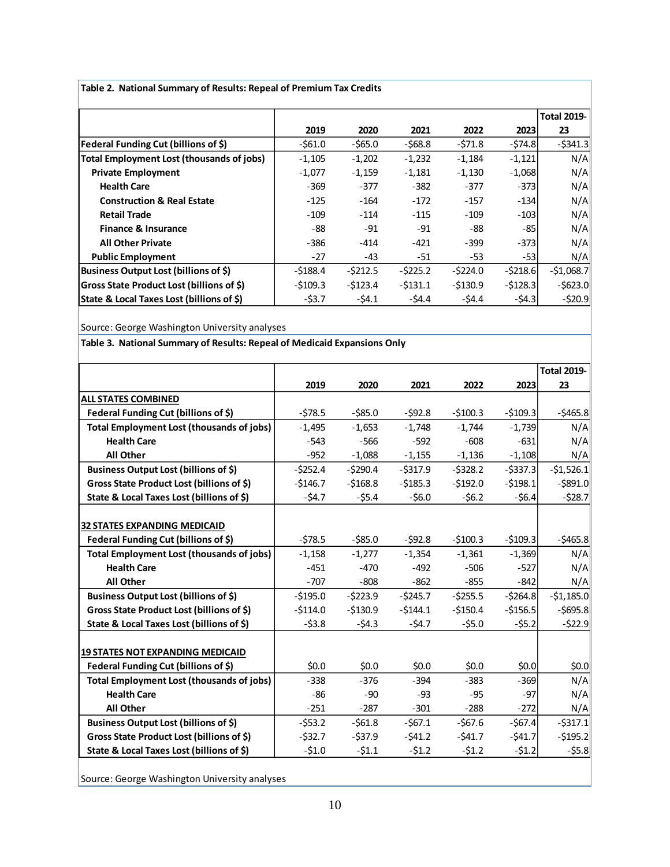|                                                  |           |           |           |           |           | <b>Total 2019-</b> |
|--------------------------------------------------|-----------|-----------|-----------|-----------|-----------|--------------------|
|                                                  | 2019      | 2020      | 2021      | 2022      | 2023      | 23                 |
| Federal Funding Cut (billions of \$)             | $-561.0$  | $-565.0$  | $-568.8$  | $-571.8$  | $-574.8$  | $-$ \$341.3        |
| Total Employment Lost (thousands of jobs)        | $-1,105$  | $-1,202$  | $-1,232$  | $-1,184$  | $-1,121$  | N/A                |
| <b>Private Employment</b>                        | $-1,077$  | $-1,159$  | $-1,181$  | $-1,130$  | $-1,068$  | N/A                |
| <b>Health Care</b>                               | $-369$    | $-377$    | $-382$    | $-377$    | $-373$    | N/A                |
| <b>Construction &amp; Real Estate</b>            | $-125$    | $-164$    | $-172$    | $-157$    | $-134$    | N/A                |
| <b>Retail Trade</b>                              | $-109$    | $-114$    | $-115$    | $-109$    | $-103$    | N/A                |
| <b>Finance &amp; Insurance</b>                   | -88       | $-91$     | $-91$     | -88       | $-85$     | N/A                |
| <b>All Other Private</b>                         | $-386$    | $-414$    | $-421$    | $-399$    | $-373$    | N/A                |
| <b>Public Employment</b>                         | $-27$     | -43       | -51       | $-53$     | $-53$     | N/A                |
| Business Output Lost (billions of \$)            | $-5188.4$ | $-5212.5$ | $-5225.2$ | $-5224.0$ | $-5218.6$ | $-51,068.7$        |
| <b>Gross State Product Lost (billions of \$)</b> | $-5109.3$ | -\$123.4  | $-5131.1$ | $-5130.9$ | $-5128.3$ | $-5623.0$          |
| State & Local Taxes Lost (billions of \$)        | $-53.7$   | $-54.1$   | $-54.4$   | $-54.4$   | $-54.3$   | $-$ \$20.9         |

**Table 2. National Summary of Results: Repeal of Premium Tax Credits**

Source: George Washington University analyses

**Table 3. National Summary of Results: Repeal of Medicaid Expansions Only**

|                                                  |           |            |           |           |           | <b>Total 2019-</b> |
|--------------------------------------------------|-----------|------------|-----------|-----------|-----------|--------------------|
|                                                  | 2019      | 2020       | 2021      | 2022      | 2023      | 23                 |
| <b>ALL STATES COMBINED</b>                       |           |            |           |           |           |                    |
| Federal Funding Cut (billions of \$)             | $-578.5$  | $-585.0$   | $-592.8$  | $-5100.3$ | $-5109.3$ | $-5465.8$          |
| <b>Total Employment Lost (thousands of jobs)</b> | $-1,495$  | $-1,653$   | $-1,748$  | $-1,744$  | $-1,739$  | N/A                |
| <b>Health Care</b>                               | $-543$    | $-566$     | $-592$    | $-608$    | $-631$    | N/A                |
| <b>All Other</b>                                 | $-952$    | $-1,088$   | $-1,155$  | $-1,136$  | $-1,108$  | N/A                |
| Business Output Lost (billions of \$)            | $-5252.4$ | $-5290.4$  | $-5317.9$ | $-5328.2$ | $-5337.3$ | $-51,526.1$        |
| Gross State Product Lost (billions of \$)        | $-5146.7$ | $-5168.8$  | $-5185.3$ | $-5192.0$ | $-5198.1$ | $-5891.0$          |
| State & Local Taxes Lost (billions of \$)        | $-54.7$   | $-55.4$    | $-56.0$   | $-56.2$   | $-56.4$   | $-528.7$           |
|                                                  |           |            |           |           |           |                    |
| <b>32 STATES EXPANDING MEDICAID</b>              |           |            |           |           |           |                    |
| Federal Funding Cut (billions of \$)             | $-578.5$  | $-$ \$85.0 | $-592.8$  | $-5100.3$ | $-5109.3$ | $-5465.8$          |
| <b>Total Employment Lost (thousands of jobs)</b> | $-1,158$  | $-1,277$   | $-1,354$  | $-1,361$  | $-1,369$  | N/A                |
| <b>Health Care</b>                               | $-451$    | $-470$     | $-492$    | $-506$    | $-527$    | N/A                |
| <b>All Other</b>                                 | $-707$    | $-808$     | $-862$    | $-855$    | $-842$    | N/A                |
| Business Output Lost (billions of \$)            | $-5195.0$ | $-5223.9$  | $-5245.7$ | $-5255.5$ | $-5264.8$ | $-51,185.0$        |
| Gross State Product Lost (billions of \$)        | $-5114.0$ | $-5130.9$  | $-5144.1$ | $-5150.4$ | $-5156.5$ | $-5695.8$          |
| State & Local Taxes Lost (billions of \$)        | $-53.8$   | $-54.3$    | $-54.7$   | $-55.0$   | $-55.2$   | $-522.9$           |
|                                                  |           |            |           |           |           |                    |
| <b>19 STATES NOT EXPANDING MEDICAID</b>          |           |            |           |           |           |                    |
| Federal Funding Cut (billions of \$)             | \$0.0\$   | \$0.0\$    | \$0.0\$   | \$0.0\$   | \$0.0     | \$0.0              |
| <b>Total Employment Lost (thousands of jobs)</b> | $-338$    | $-376$     | $-394$    | $-383$    | $-369$    | N/A                |
| <b>Health Care</b>                               | $-86$     | $-90$      | $-93$     | $-95$     | $-97$     | N/A                |
| <b>All Other</b>                                 | $-251$    | $-287$     | $-301$    | $-288$    | $-272$    | N/A                |
| Business Output Lost (billions of \$)            | $-553.2$  | $-561.8$   | $-567.1$  | $-567.6$  | $-567.4$  | $-5317.1$          |
| Gross State Product Lost (billions of \$)        | $-532.7$  | $-537.9$   | $-541.2$  | $-541.7$  | $-541.7$  | $-5195.2$          |
| State & Local Taxes Lost (billions of \$)        | $-51.0$   | $-51.1$    | $-51.2$   | $-51.2$   | $-51.2$   | $-55.8$            |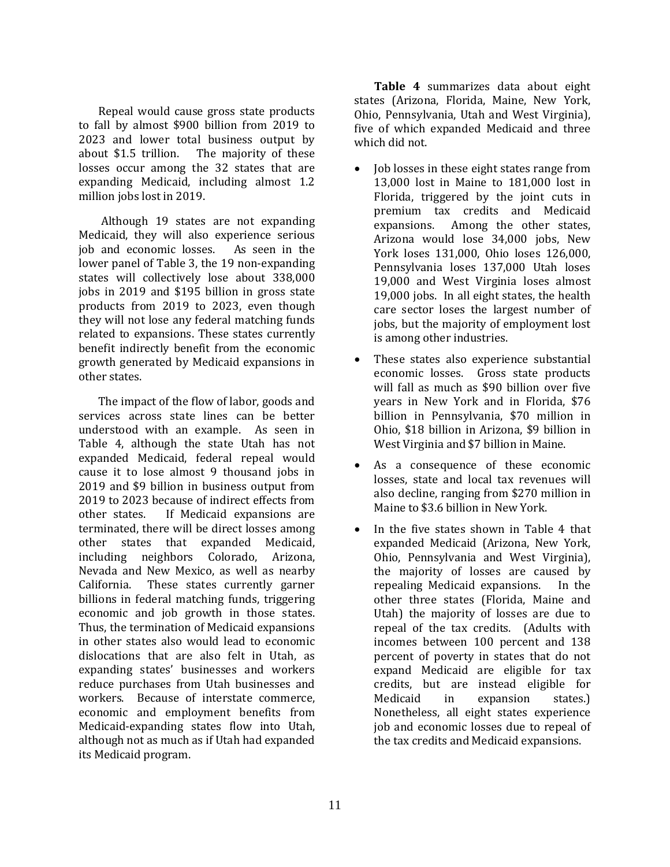Repeal would cause gross state products to fall by almost \$900 billion from 2019 to 2023 and lower total business output by about \$1.5 trillion. The majority of these losses occur among the 32 states that are expanding Medicaid, including almost 1.2 million jobs lost in 2019.

Although 19 states are not expanding Medicaid, they will also experience serious job and economic losses. As seen in the lower panel of Table 3, the 19 non-expanding states will collectively lose about 338,000 jobs in 2019 and \$195 billion in gross state products from 2019 to 2023, even though they will not lose any federal matching funds related to expansions. These states currently benefit indirectly benefit from the economic growth generated by Medicaid expansions in other states.

The impact of the flow of labor, goods and services across state lines can be better understood with an example. As seen in Table 4, although the state Utah has not expanded Medicaid, federal repeal would cause it to lose almost 9 thousand jobs in 2019 and \$9 billion in business output from 2019 to 2023 because of indirect effects from other states. If Medicaid expansions are terminated, there will be direct losses among other states that expanded Medicaid, including neighbors Colorado, Arizona, Nevada and New Mexico, as well as nearby California. These states currently garner billions in federal matching funds, triggering economic and job growth in those states. Thus, the termination of Medicaid expansions in other states also would lead to economic dislocations that are also felt in Utah, as expanding states' businesses and workers reduce purchases from Utah businesses and workers. Because of interstate commerce, economic and employment benefits from Medicaid-expanding states flow into Utah, although not as much as if Utah had expanded its Medicaid program.

**Table 4** summarizes data about eight states (Arizona, Florida, Maine, New York, Ohio, Pennsylvania, Utah and West Virginia), five of which expanded Medicaid and three which did not.

- Job losses in these eight states range from 13,000 lost in Maine to 181,000 lost in Florida, triggered by the joint cuts in premium tax credits and Medicaid expansions. Among the other states, Arizona would lose 34,000 jobs, New York loses 131,000, Ohio loses 126,000, Pennsylvania loses 137,000 Utah loses 19,000 and West Virginia loses almost 19,000 jobs. In all eight states, the health care sector loses the largest number of jobs, but the majority of employment lost is among other industries.
- These states also experience substantial economic losses. Gross state products will fall as much as \$90 billion over five years in New York and in Florida, \$76 billion in Pennsylvania, \$70 million in Ohio, \$18 billion in Arizona, \$9 billion in West Virginia and \$7 billion in Maine.
- As a consequence of these economic losses, state and local tax revenues will also decline, ranging from \$270 million in Maine to \$3.6 billion in New York.
- In the five states shown in Table 4 that expanded Medicaid (Arizona, New York, Ohio, Pennsylvania and West Virginia), the majority of losses are caused by repealing Medicaid expansions. In the other three states (Florida, Maine and Utah) the majority of losses are due to repeal of the tax credits. (Adults with incomes between 100 percent and 138 percent of poverty in states that do not expand Medicaid are eligible for tax credits, but are instead eligible for Medicaid in expansion states.) Nonetheless, all eight states experience job and economic losses due to repeal of the tax credits and Medicaid expansions.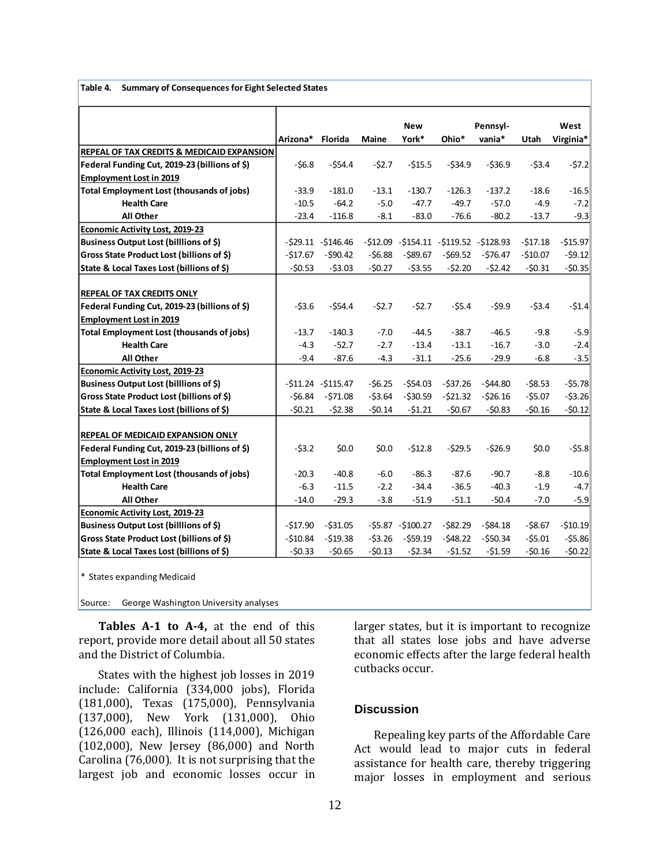|  |  | Table 4. Summary of Consequences for Eight Selected States |
|--|--|------------------------------------------------------------|
|--|--|------------------------------------------------------------|

|                                                       |           |                     |          | <b>New</b>         |             | Pennsyl-                                |           | West      |
|-------------------------------------------------------|-----------|---------------------|----------|--------------------|-------------|-----------------------------------------|-----------|-----------|
|                                                       | Arizona*  | Florida             | Maine    | York*              | Ohio*       | vania*                                  | Utah      | Virginia* |
| <b>REPEAL OF TAX CREDITS &amp; MEDICAID EXPANSION</b> |           |                     |          |                    |             |                                         |           |           |
| Federal Funding Cut, 2019-23 (billions of \$)         | $-56.8$   | $-554.4$            | $-52.7$  | $-515.5$           | $-534.9$    | $-536.9$                                | $-53.4$   | $-57.2$   |
| <b>Employment Lost in 2019</b>                        |           |                     |          |                    |             |                                         |           |           |
| <b>Total Employment Lost (thousands of jobs)</b>      | $-33.9$   | $-181.0$            | $-13.1$  | $-130.7$           | $-126.3$    | $-137.2$                                | $-18.6$   | $-16.5$   |
| <b>Health Care</b>                                    | $-10.5$   | $-64.2$             | $-5.0$   | $-47.7$            | $-49.7$     | $-57.0$                                 | $-4.9$    | $-7.2$    |
| <b>All Other</b>                                      | $-23.4$   | $-116.8$            | $-8.1$   | $-83.0$            | $-76.6$     | $-80.2$                                 | $-13.7$   | $-9.3$    |
| <b>Economic Activity Lost, 2019-23</b>                |           |                     |          |                    |             |                                         |           |           |
| Business Output Lost (billlions of \$)                |           | $-529.11 - 5146.46$ |          |                    |             | $-512.09 - 5154.11 - 5119.52 - 5128.93$ | $-517.18$ | $-515.97$ |
| Gross State Product Lost (billions of \$)             | $-517.67$ | $-590.42$           | $-56.88$ | $-589.67$          | $-569.52$   | $-576.47$                               | $-$10.07$ | $-59.12$  |
| State & Local Taxes Lost (billions of \$)             | $-50.53$  | $-53.03$            | $-50.27$ | $-53.55$           | $-52.20$    | $-52.42$                                | $-50.31$  | $-50.35$  |
|                                                       |           |                     |          |                    |             |                                         |           |           |
| <b>REPEAL OF TAX CREDITS ONLY</b>                     |           |                     |          |                    |             |                                         |           |           |
| Federal Funding Cut, 2019-23 (billions of \$)         | $-53.6$   | $-554.4$            | $-52.7$  | $-52.7$            | $-55.4$     | $-59.9$                                 | $-53.4$   | $-51.4$   |
| <b>Employment Lost in 2019</b>                        |           |                     |          |                    |             |                                         |           |           |
| <b>Total Employment Lost (thousands of jobs)</b>      | $-13.7$   | $-140.3$            | $-7.0$   | $-44.5$            | $-38.7$     | $-46.5$                                 | $-9.8$    | $-5.9$    |
| <b>Health Care</b>                                    | $-4.3$    | $-52.7$             | $-2.7$   | $-13.4$            | $-13.1$     | $-16.7$                                 | $-3.0$    | $-2.4$    |
| All Other                                             | $-9.4$    | $-87.6$             | $-4.3$   | $-31.1$            | $-25.6$     | $-29.9$                                 | $-6.8$    | $-3.5$    |
| <b>Economic Activity Lost, 2019-23</b>                |           |                     |          |                    |             |                                         |           |           |
| Business Output Lost (billlions of \$)                |           | $-511.24 - 5115.47$ | $-56.25$ | -\$54.03           | -\$37.26    | $-544.80$                               | $-58.53$  | $-55.78$  |
| Gross State Product Lost (billions of \$)             | $-56.84$  | $-571.08$           | $-53.64$ | $-530.59$          | $-521.32$   | $-526.16$                               | $-55.07$  | $-53.26$  |
| State & Local Taxes Lost (billions of \$)             | $-50.21$  | $-52.38$            | $-50.14$ | $-51.21$           | $-50.67$    | $-50.83$                                | $-50.16$  | $-50.12$  |
|                                                       |           |                     |          |                    |             |                                         |           |           |
| REPEAL OF MEDICAID EXPANSION ONLY                     |           |                     |          |                    |             |                                         |           |           |
| Federal Funding Cut, 2019-23 (billions of \$)         | $-53.2$   | \$0.0\$             | \$0.0\$  | $-512.8$           | $-529.5$    | $-526.9$                                | \$0.0     | $-55.8$   |
| <b>Employment Lost in 2019</b>                        |           |                     |          |                    |             |                                         |           |           |
| <b>Total Employment Lost (thousands of jobs)</b>      | $-20.3$   | $-40.8$             | $-6.0$   | $-86.3$            | $-87.6$     | $-90.7$                                 | $-8.8$    | $-10.6$   |
| <b>Health Care</b>                                    | $-6.3$    | $-11.5$             | $-2.2$   | $-34.4$            | $-36.5$     | $-40.3$                                 | $-1.9$    | $-4.7$    |
| <b>All Other</b>                                      | $-14.0$   | $-29.3$             | $-3.8$   | $-51.9$            | $-51.1$     | $-50.4$                                 | $-7.0$    | $-5.9$    |
| Economic Activity Lost, 2019-23                       |           |                     |          |                    |             |                                         |           |           |
| Business Output Lost (billlions of \$)                | $-517.90$ | $-$ \$31.05         |          | $-55.87 - 5100.27$ | $-$ \$82.29 | $-$ \$84.18                             | $-58.67$  | $-$10.19$ |
| Gross State Product Lost (billions of \$)             | $-510.84$ | $-$19.38$           | $-53.26$ | $-559.19$          | $-548.22$   | $-550.34$                               | $-55.01$  | $-55.86$  |
| State & Local Taxes Lost (billions of \$)             | $-50.33$  | $-50.65$            | $-50.13$ | $-52.34$           | $-$1.52$    | $-$1.59$                                | $-50.16$  | $-50.22$  |

\* States expanding Medicaid

Source: George Washington University analyses

**Tables A-1 to A-4,** at the end of this report, provide more detail about all 50 states and the District of Columbia.

States with the highest job losses in 2019 include: California (334,000 jobs), Florida (181,000), Texas (175,000), Pennsylvania (137,000), New York (131,000), Ohio (126,000 each), Illinois (114,000), Michigan (102,000), New Jersey (86,000) and North Carolina (76,000). It is not surprising that the largest job and economic losses occur in larger states, but it is important to recognize that all states lose jobs and have adverse economic effects after the large federal health cutbacks occur.

#### **Discussion**

Repealing key parts of the Affordable Care Act would lead to major cuts in federal assistance for health care, thereby triggering major losses in employment and serious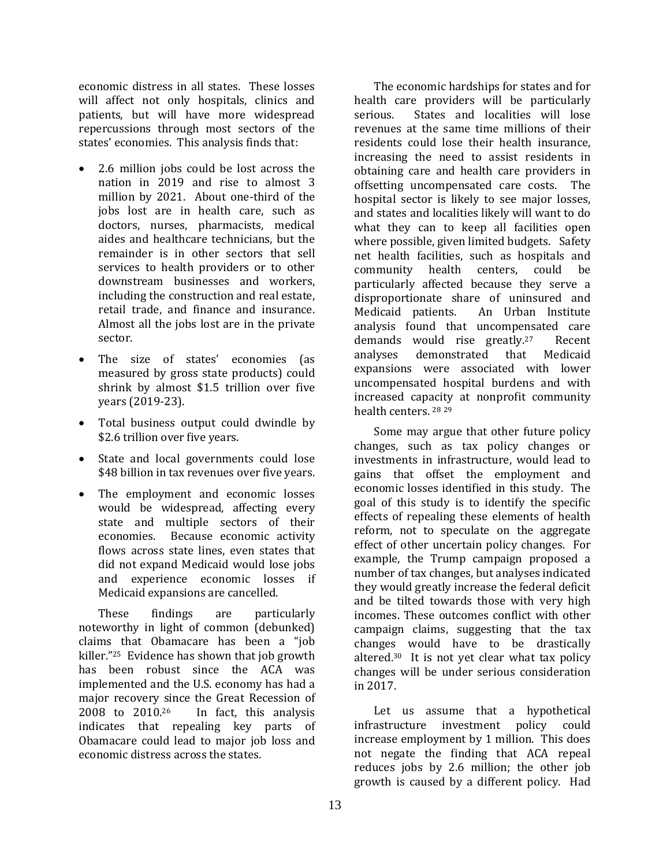economic distress in all states. These losses will affect not only hospitals, clinics and patients, but will have more widespread repercussions through most sectors of the states' economies. This analysis finds that:

- 2.6 million jobs could be lost across the nation in 2019 and rise to almost 3 million by 2021. About one-third of the jobs lost are in health care, such as doctors, nurses, pharmacists, medical aides and healthcare technicians, but the remainder is in other sectors that sell services to health providers or to other downstream businesses and workers, including the construction and real estate, retail trade, and finance and insurance. Almost all the jobs lost are in the private sector.
- The size of states' economies (as measured by gross state products) could shrink by almost \$1.5 trillion over five years (2019-23).
- Total business output could dwindle by \$2.6 trillion over five years.
- State and local governments could lose \$48 billion in tax revenues over five years.
- The employment and economic losses would be widespread, affecting every state and multiple sectors of their economies. Because economic activity flows across state lines, even states that did not expand Medicaid would lose jobs and experience economic losses if Medicaid expansions are cancelled.

These findings are particularly noteworthy in light of common (debunked) claims that Obamacare has been a "job killer."<sup>25</sup> Evidence has shown that job growth has been robust since the ACA was implemented and the U.S. economy has had a major recovery since the Great Recession of 2008 to 2010.26 In fact, this analysis indicates that repealing key parts of Obamacare could lead to major job loss and economic distress across the states.

The economic hardships for states and for health care providers will be particularly serious. States and localities will lose revenues at the same time millions of their residents could lose their health insurance, increasing the need to assist residents in obtaining care and health care providers in offsetting uncompensated care costs. The hospital sector is likely to see major losses, and states and localities likely will want to do what they can to keep all facilities open where possible, given limited budgets. Safety net health facilities, such as hospitals and community health centers, could be particularly affected because they serve a disproportionate share of uninsured and Medicaid patients. An Urban Institute analysis found that uncompensated care demands would rise greatly.27 Recent analyses demonstrated that Medicaid expansions were associated with lower uncompensated hospital burdens and with increased capacity at nonprofit community health centers. <sup>28</sup> <sup>29</sup>

Some may argue that other future policy changes, such as tax policy changes or investments in infrastructure, would lead to gains that offset the employment and economic losses identified in this study. The goal of this study is to identify the specific effects of repealing these elements of health reform, not to speculate on the aggregate effect of other uncertain policy changes. For example, the Trump campaign proposed a number of tax changes, but analyses indicated they would greatly increase the federal deficit and be tilted towards those with very high incomes. These outcomes conflict with other campaign claims, suggesting that the tax changes would have to be drastically altered. <sup>30</sup> It is not yet clear what tax policy changes will be under serious consideration in 2017.

Let us assume that a hypothetical infrastructure investment policy could increase employment by 1 million. This does not negate the finding that ACA repeal reduces jobs by 2.6 million; the other job growth is caused by a different policy. Had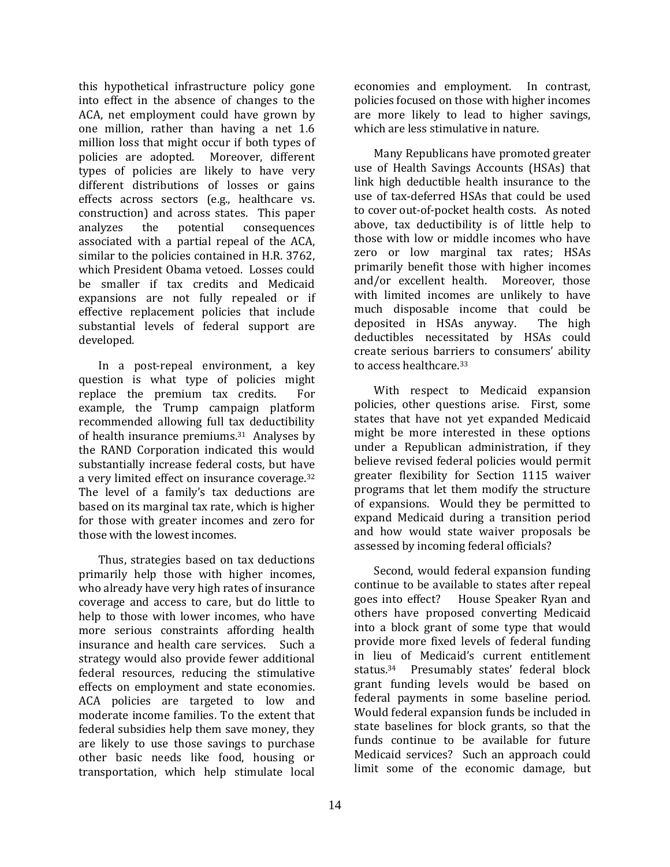this hypothetical infrastructure policy gone into effect in the absence of changes to the ACA, net employment could have grown by one million, rather than having a net 1.6 million loss that might occur if both types of policies are adopted. Moreover, different types of policies are likely to have very different distributions of losses or gains effects across sectors (e.g., healthcare vs. construction) and across states. This paper analyzes the potential consequences associated with a partial repeal of the ACA, similar to the policies contained in H.R. 3762, which President Obama vetoed. Losses could be smaller if tax credits and Medicaid expansions are not fully repealed or if effective replacement policies that include substantial levels of federal support are developed.

In a post-repeal environment, a key question is what type of policies might replace the premium tax credits. For example, the Trump campaign platform recommended allowing full tax deductibility of health insurance premiums.31 Analyses by the RAND Corporation indicated this would substantially increase federal costs, but have a very limited effect on insurance coverage. 32 The level of a family's tax deductions are based on its marginal tax rate, which is higher for those with greater incomes and zero for those with the lowest incomes.

Thus, strategies based on tax deductions primarily help those with higher incomes, who already have very high rates of insurance coverage and access to care, but do little to help to those with lower incomes, who have more serious constraints affording health insurance and health care services. Such a strategy would also provide fewer additional federal resources, reducing the stimulative effects on employment and state economies. ACA policies are targeted to low and moderate income families. To the extent that federal subsidies help them save money, they are likely to use those savings to purchase other basic needs like food, housing or transportation, which help stimulate local are more likely to lead to higher savings, which are less stimulative in nature. Many Republicans have promoted greater

economies and employment. In contrast, policies focused on those with higher incomes

use of Health Savings Accounts (HSAs) that link high deductible health insurance to the use of tax-deferred HSAs that could be used to cover out-of-pocket health costs. As noted above, tax deductibility is of little help to those with low or middle incomes who have zero or low marginal tax rates; HSAs primarily benefit those with higher incomes and/or excellent health. Moreover, those with limited incomes are unlikely to have much disposable income that could be deposited in HSAs anyway. The high deductibles necessitated by HSAs could create serious barriers to consumers' ability to access healthcare. 33

With respect to Medicaid expansion policies, other questions arise. First, some states that have not yet expanded Medicaid might be more interested in these options under a Republican administration, if they believe revised federal policies would permit greater flexibility for Section 1115 waiver programs that let them modify the structure of expansions. Would they be permitted to expand Medicaid during a transition period and how would state waiver proposals be assessed by incoming federal officials?

Second, would federal expansion funding continue to be available to states after repeal goes into effect? House Speaker Ryan and others have proposed converting Medicaid into a block grant of some type that would provide more fixed levels of federal funding in lieu of Medicaid's current entitlement status.34 Presumably states' federal block grant funding levels would be based on federal payments in some baseline period. Would federal expansion funds be included in state baselines for block grants, so that the funds continue to be available for future Medicaid services? Such an approach could limit some of the economic damage, but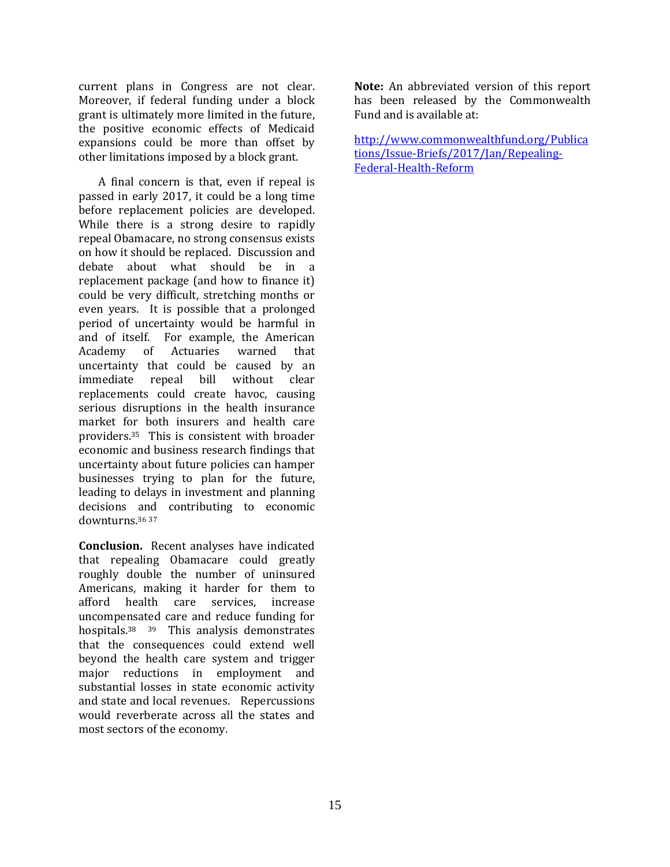current plans in Congress are not clear. Moreover, if federal funding under a block grant is ultimately more limited in the future, the positive economic effects of Medicaid expansions could be more than offset by other limitations imposed by a block grant.

A final concern is that, even if repeal is passed in early 2017, it could be a long time before replacement policies are developed. While there is a strong desire to rapidly repeal Obamacare, no strong consensus exists on how it should be replaced. Discussion and debate about what should be in a replacement package (and how to finance it) could be very difficult, stretching months or even years. It is possible that a prolonged period of uncertainty would be harmful in and of itself. For example, the American Academy of Actuaries warned that uncertainty that could be caused by an immediate repeal bill without clear replacements could create havoc, causing serious disruptions in the health insurance market for both insurers and health care providers.35 This is consistent with broader economic and business research findings that uncertainty about future policies can hamper businesses trying to plan for the future, leading to delays in investment and planning decisions and contributing to economic downturns.<sup>36</sup> <sup>37</sup>

**Conclusion.** Recent analyses have indicated that repealing Obamacare could greatly roughly double the number of uninsured Americans, making it harder for them to afford health care services, increase uncompensated care and reduce funding for hospitals.<sup>38</sup> <sup>39</sup> This analysis demonstrates that the consequences could extend well beyond the health care system and trigger major reductions in employment and substantial losses in state economic activity and state and local revenues. Repercussions would reverberate across all the states and most sectors of the economy.

**Note:** An abbreviated version of this report has been released by the Commonwealth Fund and is available at:

[http://www.commonwealthfund.org/Publica](http://www.commonwealthfund.org/Publications/Issue-Briefs/2017/Jan/Repealing-Federal-Health-Reform) [tions/Issue-Briefs/2017/Jan/Repealing-](http://www.commonwealthfund.org/Publications/Issue-Briefs/2017/Jan/Repealing-Federal-Health-Reform)[Federal-Health-Reform](http://www.commonwealthfund.org/Publications/Issue-Briefs/2017/Jan/Repealing-Federal-Health-Reform)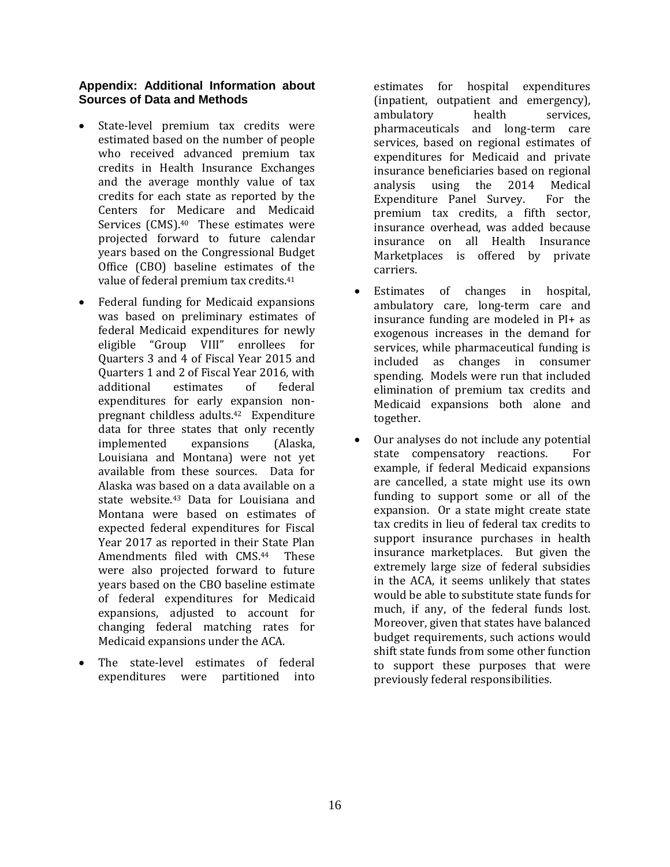#### **Appendix: Additional Information about Sources of Data and Methods**

- State-level premium tax credits were estimated based on the number of people who received advanced premium tax credits in Health Insurance Exchanges and the average monthly value of tax credits for each state as reported by the Centers for Medicare and Medicaid Services (CMS).<sup>40</sup> These estimates were projected forward to future calendar years based on the Congressional Budget Office (CBO) baseline estimates of the value of federal premium tax credits. 41
- Federal funding for Medicaid expansions was based on preliminary estimates of federal Medicaid expenditures for newly eligible "Group VIII" enrollees for Quarters 3 and 4 of Fiscal Year 2015 and Quarters 1 and 2 of Fiscal Year 2016, with additional estimates of federal expenditures for early expansion nonpregnant childless adults.42 Expenditure data for three states that only recently implemented expansions (Alaska, Louisiana and Montana) were not yet available from these sources. Data for Alaska was based on a data available on a state website.<sup>43</sup> Data for Louisiana and Montana were based on estimates of expected federal expenditures for Fiscal Year 2017 as reported in their State Plan Amendments filed with CMS. **These** were also projected forward to future years based on the CBO baseline estimate of federal expenditures for Medicaid expansions, adjusted to account for changing federal matching rates for Medicaid expansions under the ACA.
- The state-level estimates of federal expenditures were partitioned into

estimates for hospital expenditures (inpatient, outpatient and emergency), ambulatory health services, pharmaceuticals and long-term care services, based on regional estimates of expenditures for Medicaid and private insurance beneficiaries based on regional analysis using the 2014 Medical Expenditure Panel Survey. For the premium tax credits, a fifth sector, insurance overhead, was added because insurance on all Health Insurance Marketplaces is offered by private carriers.

- Estimates of changes in hospital, ambulatory care, long-term care and insurance funding are modeled in PI+ as exogenous increases in the demand for services, while pharmaceutical funding is included as changes in consumer spending. Models were run that included elimination of premium tax credits and Medicaid expansions both alone and together.
- Our analyses do not include any potential state compensatory reactions. For example, if federal Medicaid expansions are cancelled, a state might use its own funding to support some or all of the expansion. Or a state might create state tax credits in lieu of federal tax credits to support insurance purchases in health insurance marketplaces. But given the extremely large size of federal subsidies in the ACA, it seems unlikely that states would be able to substitute state funds for much, if any, of the federal funds lost. Moreover, given that states have balanced budget requirements, such actions would shift state funds from some other function to support these purposes that were previously federal responsibilities.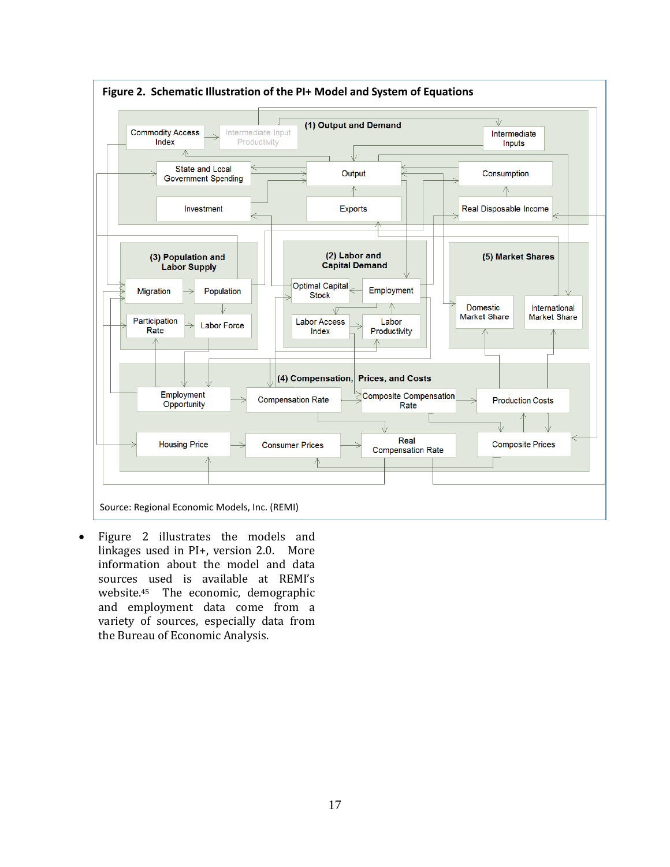

 Figure 2 illustrates the models and linkages used in PI+, version 2.0. More information about the model and data sources used is available at REMI's website.45 The economic, demographic and employment data come from a variety of sources, especially data from the Bureau of Economic Analysis.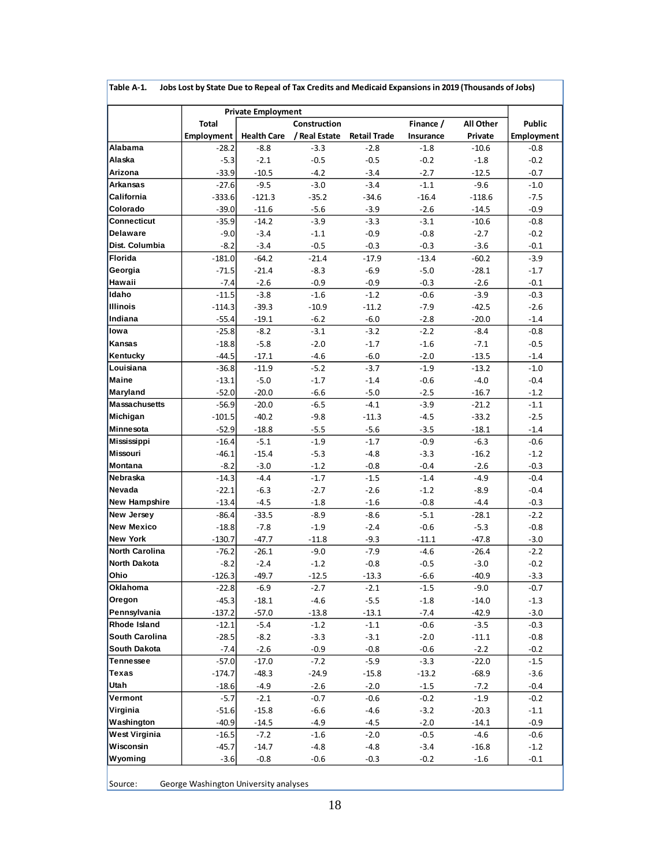|                         |                     | <b>Private Employment</b> |                  |                     |                  |                  |                   |
|-------------------------|---------------------|---------------------------|------------------|---------------------|------------------|------------------|-------------------|
|                         | <b>Total</b>        |                           | Construction     |                     | Finance /        | All Other        | <b>Public</b>     |
|                         | Employment          | <b>Health Care</b>        | / Real Estate    | <b>Retail Trade</b> | Insurance        | Private          | <b>Employment</b> |
| Alabama                 | $-28.2$             | $-8.8$                    | $-3.3$           | $-2.8$              | $-1.8$           | $-10.6$          | $-0.8$            |
| Alaska                  | $-5.3$              | $-2.1$                    | $-0.5$           | $-0.5$              | $-0.2$           | $-1.8$           | $-0.2$            |
| Arizona                 | $-33.9$             | $-10.5$                   | $-4.2$           | $-3.4$              | $-2.7$           | $-12.5$          | $-0.7$            |
| Arkansas                | $-27.6$             | $-9.5$                    | $-3.0$           | $-3.4$              | $-1.1$           | $-9.6$           | $-1.0$            |
| California<br>Colorado  | $-333.6$            | $-121.3$                  | $-35.2$          | $-34.6$             | $-16.4$          | $-118.6$         | $-7.5$            |
|                         | $-39.0$             | $-11.6$                   | $-5.6$           | $-3.9$              | $-2.6$           | $-14.5$          | $-0.9$            |
| Connecticut<br>Delaware | $-35.9$             | $-14.2$                   | $-3.9$           | $-3.3$              | $-3.1$           | $-10.6$          | $-0.8$            |
| Dist. Columbia          | $-9.0$<br>$-8.2$    | $-3.4$<br>$-3.4$          | $-1.1$<br>$-0.5$ | $-0.9$<br>$-0.3$    | $-0.8$<br>$-0.3$ | $-2.7$<br>$-3.6$ | $-0.2$<br>$-0.1$  |
| Florida                 |                     | $-64.2$                   | $-21.4$          | $-17.9$             | $-13.4$          | $-60.2$          | $-3.9$            |
| Georgia                 | $-181.0$<br>$-71.5$ | $-21.4$                   | $-8.3$           | $-6.9$              | $-5.0$           | $-28.1$          | $-1.7$            |
| Hawaii                  | $-7.4$              | $-2.6$                    | $-0.9$           | $-0.9$              | $-0.3$           | $-2.6$           | $-0.1$            |
| Idaho                   | $-11.5$             | $-3.8$                    | $-1.6$           | $-1.2$              | $-0.6$           | $-3.9$           | $-0.3$            |
| <b>Illinois</b>         | $-114.3$            | $-39.3$                   | $-10.9$          | $-11.2$             | $-7.9$           | $-42.5$          | $-2.6$            |
| Indiana                 | $-55.4$             | $-19.1$                   | $-6.2$           | $-6.0$              | $-2.8$           | $-20.0$          | $-1.4$            |
| lowa                    | $-25.8$             | $-8.2$                    | $-3.1$           | $-3.2$              | $-2.2$           | $-8.4$           | $-0.8$            |
| Kansas                  | $-18.8$             | $-5.8$                    | $-2.0$           | $-1.7$              | $-1.6$           | $-7.1$           | $-0.5$            |
| Kentucky                | $-44.5$             | $-17.1$                   | $-4.6$           | $-6.0$              | $-2.0$           | $-13.5$          | $-1.4$            |
| Louisiana               | $-36.8$             | $-11.9$                   | $-5.2$           | $-3.7$              | $-1.9$           | $-13.2$          | $-1.0$            |
| <b>Maine</b>            | $-13.1$             | $-5.0$                    | $-1.7$           | $-1.4$              | $-0.6$           | $-4.0$           | $-0.4$            |
| Maryland                | $-52.0$             | $-20.0$                   | $-6.6$           | $-5.0$              | $-2.5$           | $-16.7$          | $-1.2$            |
| <b>Massachusetts</b>    | $-56.9$             | $-20.0$                   | $-6.5$           | $-4.1$              | $-3.9$           | $-21.2$          | $-1.1$            |
| Michigan                | $-101.5$            | $-40.2$                   | $-9.8$           | $-11.3$             | $-4.5$           | $-33.2$          | $-2.5$            |
| Minnesota               | $-52.9$             | $-18.8$                   | $-5.5$           | $-5.6$              | $-3.5$           | $-18.1$          | $-1.4$            |
| Mississippi             | $-16.4$             | $-5.1$                    | $-1.9$           | $-1.7$              | $-0.9$           | $-6.3$           | $-0.6$            |
| Missouri                | $-46.1$             | $-15.4$                   | $-5.3$           | $-4.8$              | $-3.3$           | $-16.2$          | $-1.2$            |
| Montana                 | $-8.2$              | $-3.0$                    | $-1.2$           | $-0.8$              | $-0.4$           | $-2.6$           | $-0.3$            |
| Nebraska                | $-14.3$             | $-4.4$                    | $-1.7$           | $-1.5$              | $-1.4$           | $-4.9$           | $-0.4$            |
| Nevada                  | $-22.1$             | $-6.3$                    | $-2.7$           | $-2.6$              | $-1.2$           | $-8.9$           | $-0.4$            |
| <b>New Hampshire</b>    | $-13.4$             | $-4.5$                    | $-1.8$           | $-1.6$              | $-0.8$           | $-4.4$           | $-0.3$            |
| New Jersey              | $-86.4$             | $-33.5$                   | -8.9             | $-8.6$              | $-5.1$           | $-28.1$          | $-2.2$            |
| New Mexico              | $-18.8$             | $-7.8$                    | $-1.9$           | $-2.4$              | $-0.6$           | $-5.3$           | $-0.8$            |
| <b>New York</b>         | $-130.7$            | $-47.7$                   | $-11.8$          | $-9.3$              | $-11.1$          | $-47.8$          | $-3.0$            |
| North Carolina          | $-76.2$             | $-26.1$                   | $-9.0$           | $-7.9$              | $-4.6$           | $-26.4$          | $-2.2$            |
| <b>North Dakota</b>     | $-8.2$              | $-2.4$                    | $-1.2$           | $-0.8$              | $-0.5$           | $-3.0$           | $-0.2$            |
| Ohio                    | $-126.3$            | $-49.7$                   | $-12.5$          | $-13.3$             | -6.6             | $-40.9$          | $-3.3$            |
| Oklahoma                | $-22.8$             | $-6.9$                    | $-2.7$           | $-2.1$              | $-1.5$           | $-9.0$           | $-0.7$            |
| Oregon                  | $-45.3$             | $-18.1$                   | $-4.6$           | $-5.5$              | $-1.8$           | $-14.0$          | $-1.3$            |
| Pennsylvania            | $-137.2$            | $-57.0$                   | $-13.8$          | $-13.1$             | $-7.4$           | $-42.9$          | $-3.0$            |
| Rhode Island            | $-12.1$             | $-5.4$                    | $-1.2$           | $-1.1$              | $-0.6$           | $-3.5$           | $-0.3$            |
| South Carolina          | $-28.5$             | $-8.2$                    | $-3.3$           | $-3.1$              | $-2.0$           | $-11.1$          | $-0.8$            |
| South Dakota            | $-7.4$              | $-2.6$                    | $-0.9$           | $-0.8$              | $-0.6$           | $-2.2$           | $-0.2$            |
| Tennessee               | $-57.0$             | $-17.0$                   | $-7.2$           | $-5.9$              | $-3.3$           | $-22.0$          | $-1.5$            |
| Texas                   | $-174.7$            | $-48.3$                   | $-24.9$          | $-15.8$             | $-13.2$          | $-68.9$          | $-3.6$            |
| Utah                    | $-18.6$             | $-4.9$                    | $-2.6$           | $-2.0$              | $-1.5$           | $-7.2$           | $-0.4$            |
| Vermont                 | $-5.7$              | $-2.1$                    | $-0.7$           | $-0.6$              | $-0.2$           | $-1.9$           | $-0.2$            |
| Virginia                | $-51.6$             | $-15.8$                   | $-6.6$           | $-4.6$              | $-3.2$           | $-20.3$          | $-1.1$            |
| Washington              | $-40.9$             | $-14.5$                   | -4.9             | $-4.5$              | $-2.0$           | $-14.1$          | $-0.9$            |
| West Virginia           | $-16.5$             | $-7.2$                    | $-1.6$           | $-2.0$              | $-0.5$           | $-4.6$           | $-0.6$            |
| Wisconsin               | $-45.7$             | $-14.7$                   | $-4.8$           | $-4.8$              | $-3.4$           | $-16.8$          | $-1.2$            |
| Wyoming                 | $-3.6$              | $-0.8$                    | $-0.6$           | $-0.3$              | $-0.2$           | $-1.6$           | $-0.1$            |

**Table A-1. Jobs Lost by State Due to Repeal of Tax Credits and Medicaid Expansions in 2019 (Thousands of Jobs)**

٦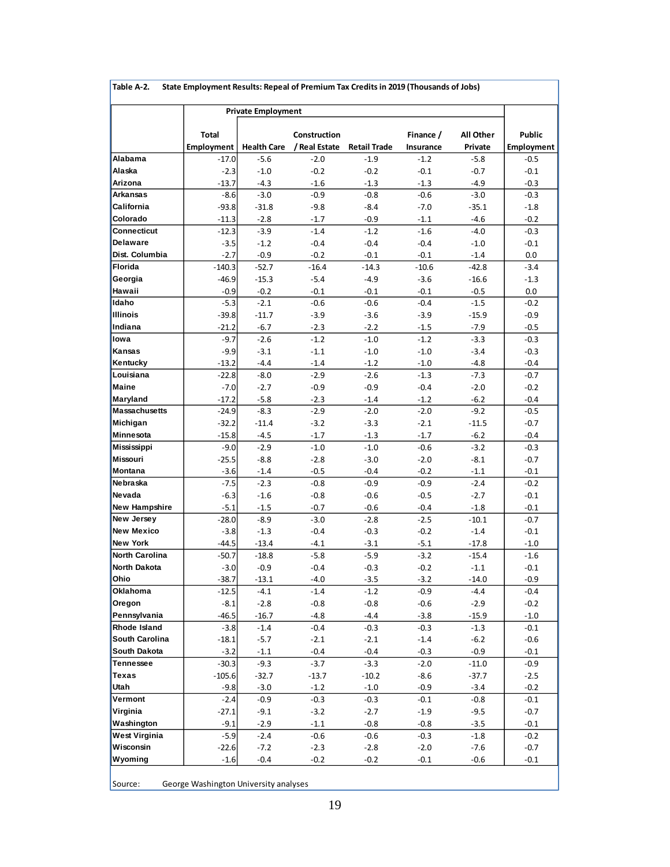| Alabama<br>Alaska<br>Arizona<br>Arkansas<br>California<br>Colorado<br>Connecticut<br>Delaware<br>Dist. Columbia<br>Florida<br>Georgia<br>Hawaii<br>Idaho<br><b>Illinois</b><br>Indiana<br>lowa<br>Kansas<br>Kentucky<br>Louisiana<br><b>Maine</b><br>Maryland<br><b>Massachusetts</b><br>Michigan<br>Minnesota<br>Mississippi<br>Missouri<br>Montana<br>Nebraska | <b>Total</b><br><b>Employment</b><br>$-17.0$<br>$-2.3$<br>$-13.7$<br>$-8.6$<br>$-93.8$<br>$-11.3$<br>$-12.3$ | <b>Private Employment</b><br><b>Health Care</b><br>$-5.6$<br>$-1.0$<br>$-4.3$<br>$-3.0$<br>$-31.8$<br>$-2.8$ | Construction<br>/ Real Estate<br>$-2.0$<br>$-0.2$<br>$-1.6$<br>$-0.9$ | <b>Retail Trade</b><br>$-1.9$<br>$-0.2$ | Finance /<br>Insurance<br>$-1.2$ | All Other<br>Private | Public            |
|------------------------------------------------------------------------------------------------------------------------------------------------------------------------------------------------------------------------------------------------------------------------------------------------------------------------------------------------------------------|--------------------------------------------------------------------------------------------------------------|--------------------------------------------------------------------------------------------------------------|-----------------------------------------------------------------------|-----------------------------------------|----------------------------------|----------------------|-------------------|
|                                                                                                                                                                                                                                                                                                                                                                  |                                                                                                              |                                                                                                              |                                                                       |                                         |                                  |                      |                   |
|                                                                                                                                                                                                                                                                                                                                                                  |                                                                                                              |                                                                                                              |                                                                       |                                         |                                  |                      |                   |
|                                                                                                                                                                                                                                                                                                                                                                  |                                                                                                              |                                                                                                              |                                                                       |                                         |                                  |                      | <b>Employment</b> |
|                                                                                                                                                                                                                                                                                                                                                                  |                                                                                                              |                                                                                                              |                                                                       |                                         |                                  | $-5.8$               | $-0.5$            |
|                                                                                                                                                                                                                                                                                                                                                                  |                                                                                                              |                                                                                                              |                                                                       |                                         | $-0.1$                           | $-0.7$               | $-0.1$            |
|                                                                                                                                                                                                                                                                                                                                                                  |                                                                                                              |                                                                                                              |                                                                       | $-1.3$                                  | $-1.3$                           | $-4.9$               | $-0.3$            |
|                                                                                                                                                                                                                                                                                                                                                                  |                                                                                                              |                                                                                                              |                                                                       | $-0.8$                                  | $-0.6$                           | $-3.0$               | $-0.3$            |
|                                                                                                                                                                                                                                                                                                                                                                  |                                                                                                              |                                                                                                              | $-9.8$                                                                | $-8.4$                                  | $-7.0$                           | $-35.1$              | $-1.8$            |
|                                                                                                                                                                                                                                                                                                                                                                  |                                                                                                              |                                                                                                              | $-1.7$                                                                | $-0.9$                                  | $-1.1$                           | $-4.6$               | $-0.2$            |
|                                                                                                                                                                                                                                                                                                                                                                  |                                                                                                              | $-3.9$                                                                                                       | $-1.4$                                                                | $-1.2$                                  | $-1.6$                           | $-4.0$               | $-0.3$            |
|                                                                                                                                                                                                                                                                                                                                                                  | $-3.5$                                                                                                       | $-1.2$                                                                                                       | $-0.4$                                                                | $-0.4$                                  | $-0.4$                           | $-1.0$               | $-0.1$            |
|                                                                                                                                                                                                                                                                                                                                                                  | $-2.7$                                                                                                       | $-0.9$                                                                                                       | $-0.2$                                                                | $-0.1$                                  | $-0.1$                           | $-1.4$               | 0.0               |
|                                                                                                                                                                                                                                                                                                                                                                  | $-140.3$                                                                                                     | $-52.7$                                                                                                      | $-16.4$                                                               | $-14.3$                                 | $-10.6$                          | -42.8                | $-3.4$            |
|                                                                                                                                                                                                                                                                                                                                                                  | $-46.9$                                                                                                      | $-15.3$                                                                                                      | $-5.4$                                                                | $-4.9$                                  | $-3.6$                           | $-16.6$              | $-1.3$            |
|                                                                                                                                                                                                                                                                                                                                                                  | $-0.9$                                                                                                       | $-0.2$                                                                                                       | $-0.1$                                                                | $-0.1$                                  | $-0.1$                           | $-0.5$               | 0.0               |
|                                                                                                                                                                                                                                                                                                                                                                  | $-5.3$                                                                                                       | $-2.1$                                                                                                       | $-0.6$                                                                | $-0.6$                                  | $-0.4$                           | $-1.5$               | $-0.2$            |
|                                                                                                                                                                                                                                                                                                                                                                  | $-39.8$                                                                                                      | $-11.7$                                                                                                      | $-3.9$                                                                | $-3.6$                                  | $-3.9$                           | $-15.9$              | $-0.9$            |
|                                                                                                                                                                                                                                                                                                                                                                  | $-21.2$                                                                                                      | $-6.7$                                                                                                       | $-2.3$                                                                | $-2.2$                                  | $-1.5$                           | $-7.9$               | $-0.5$            |
|                                                                                                                                                                                                                                                                                                                                                                  | $-9.7$                                                                                                       | $-2.6$                                                                                                       | $-1.2$                                                                | $\textbf{-1.0}$                         | $-1.2$                           | $-3.3$               | $-0.3$            |
|                                                                                                                                                                                                                                                                                                                                                                  | $-9.9$                                                                                                       | $-3.1$                                                                                                       | $-1.1$                                                                | $-1.0$                                  | $-1.0$                           | $-3.4$               | $-0.3$            |
|                                                                                                                                                                                                                                                                                                                                                                  | $-13.2$                                                                                                      | $-4.4$                                                                                                       | $-1.4$                                                                | $-1.2$                                  | $-1.0$                           | $-4.8$               | $-0.4$            |
|                                                                                                                                                                                                                                                                                                                                                                  | $-22.8$                                                                                                      | $-8.0$                                                                                                       | $-2.9$                                                                | $-2.6$                                  | $-1.3$                           | $-7.3$               | $-0.7$            |
|                                                                                                                                                                                                                                                                                                                                                                  | $-7.0$                                                                                                       | $-2.7$                                                                                                       | $-0.9$                                                                | $-0.9$                                  | $-0.4$                           | $-2.0$               | $-0.2$            |
|                                                                                                                                                                                                                                                                                                                                                                  | $-17.2$                                                                                                      | $-5.8$                                                                                                       | $-2.3$                                                                | $-1.4$                                  | $-1.2$                           | $-6.2$               | $-0.4$            |
|                                                                                                                                                                                                                                                                                                                                                                  | $-24.9$                                                                                                      | $-8.3$                                                                                                       | $-2.9$                                                                | $-2.0$                                  | $-2.0$                           | $-9.2$               | $-0.5$            |
|                                                                                                                                                                                                                                                                                                                                                                  | $-32.2$                                                                                                      | $-11.4$                                                                                                      | $-3.2$                                                                | $-3.3$                                  | $-2.1$                           | $-11.5$              | $-0.7$            |
|                                                                                                                                                                                                                                                                                                                                                                  | $-15.8$                                                                                                      | $-4.5$                                                                                                       | $-1.7$                                                                | $-1.3$                                  | $-1.7$                           | $-6.2$               | $-0.4$            |
|                                                                                                                                                                                                                                                                                                                                                                  | $-9.0$                                                                                                       | $-2.9$                                                                                                       | $-1.0$                                                                | $-1.0$                                  | $-0.6$                           | $-3.2$               | $-0.3$            |
|                                                                                                                                                                                                                                                                                                                                                                  | $-25.5$                                                                                                      | $-8.8$                                                                                                       | $-2.8$                                                                | $-3.0$                                  | $-2.0$                           | $-8.1$               | $-0.7$            |
|                                                                                                                                                                                                                                                                                                                                                                  | $-3.6$                                                                                                       | $-1.4$                                                                                                       | $-0.5$                                                                | $-0.4$                                  | $-0.2$                           | $-1.1$               | $-0.1$            |
|                                                                                                                                                                                                                                                                                                                                                                  | $-7.5$                                                                                                       | $-2.3$                                                                                                       | $-0.8$                                                                | $-0.9$                                  | $-0.9$                           | $-2.4$               | $-0.2$            |
| Nevada                                                                                                                                                                                                                                                                                                                                                           | $-6.3$                                                                                                       | $-1.6$                                                                                                       | $-0.8$                                                                | $-0.6$                                  | $-0.5$                           | $-2.7$               | $-0.1$            |
| New Hampshire                                                                                                                                                                                                                                                                                                                                                    | $-5.1$                                                                                                       | $-1.5$                                                                                                       | $-0.7$                                                                | $-0.6$                                  | $-0.4$                           | $-1.8$               | $-0.1$            |
| New Jersey                                                                                                                                                                                                                                                                                                                                                       | $-28.0$                                                                                                      | $-8.9$                                                                                                       | $-3.0$                                                                | $-2.8$                                  | $-2.5$                           | $-10.1$              | $-0.7$            |
| <b>New Mexico</b>                                                                                                                                                                                                                                                                                                                                                | $-3.8$                                                                                                       | $-1.3$                                                                                                       | $-0.4$                                                                | $-0.3$                                  | $-0.2$                           | $-1.4$               | $-0.1$            |
| <b>New York</b>                                                                                                                                                                                                                                                                                                                                                  | $-44.5$                                                                                                      | $-13.4$                                                                                                      | $-4.1$                                                                | $-3.1$                                  | $-5.1$                           | $-17.8$              | $-1.0$            |
| North Carolina                                                                                                                                                                                                                                                                                                                                                   | $-50.7$                                                                                                      | $-18.8$                                                                                                      | $-5.8$                                                                | $-5.9$                                  | $-3.2$                           | $-15.4$              | $-1.6$            |
| North Dakota                                                                                                                                                                                                                                                                                                                                                     | $-3.0$                                                                                                       | $-0.9$                                                                                                       | $-0.4$                                                                | $-0.3$                                  | $-0.2$                           | $-1.1$               | $-0.1$            |
| Ohio                                                                                                                                                                                                                                                                                                                                                             | $-38.7$                                                                                                      | $-13.1$                                                                                                      | $-4.0$                                                                | $-3.5$                                  | $-3.2$                           | $-14.0$              | $-0.9$            |
| <b>Oklahoma</b>                                                                                                                                                                                                                                                                                                                                                  | $-12.5$                                                                                                      | -4.1                                                                                                         | $-1.4$                                                                | $-1.2$                                  | $-0.9$                           | $-4.4$               | -0.4              |
| Oregon                                                                                                                                                                                                                                                                                                                                                           | $-8.1$                                                                                                       | $-2.8$                                                                                                       | $-0.8\,$                                                              | $-0.8$                                  | $-0.6$                           | $-2.9$               | $-0.2$            |
| Pennsylvania                                                                                                                                                                                                                                                                                                                                                     | $-46.5$                                                                                                      | $-16.7$                                                                                                      | -4.8                                                                  | $-4.4$                                  | $-3.8$                           | $-15.9$              | $-1.0$            |
| Rhode Island                                                                                                                                                                                                                                                                                                                                                     | $-3.8$                                                                                                       | $-1.4$                                                                                                       | $-0.4$                                                                | $-0.3$                                  | $-0.3$                           | $-1.3$               | -0.1              |
| South Carolina                                                                                                                                                                                                                                                                                                                                                   | $-18.1$                                                                                                      | $-5.7$                                                                                                       | $-2.1$                                                                | $-2.1$                                  | $-1.4$                           | $-6.2$               | $-0.6$            |
| South Dakota                                                                                                                                                                                                                                                                                                                                                     | $-3.2$                                                                                                       | $-1.1$                                                                                                       | $-0.4$                                                                | $-0.4$                                  | $-0.3$                           | $-0.9$               | $-0.1$            |
| Tennessee                                                                                                                                                                                                                                                                                                                                                        | $-30.3$                                                                                                      | $-9.3$                                                                                                       | $-3.7$                                                                | $-3.3$                                  | $-2.0$                           | $-11.0$              | $-0.9$            |
| Texas                                                                                                                                                                                                                                                                                                                                                            | $-105.6$                                                                                                     | $-32.7$                                                                                                      | $-13.7$                                                               | $-10.2$                                 | $-8.6$                           | $-37.7$              | $-2.5$            |
| Utah                                                                                                                                                                                                                                                                                                                                                             | $-9.8$                                                                                                       | $-3.0$                                                                                                       | $-1.2$                                                                | $-1.0$                                  | $-0.9$                           | $-3.4$               | $-0.2$            |
| Vermont                                                                                                                                                                                                                                                                                                                                                          | $-2.4$                                                                                                       | $-0.9$                                                                                                       | $-0.3$                                                                | $-0.3$                                  | $-0.1$                           | $-0.8$               | -0.1              |
| Virginia                                                                                                                                                                                                                                                                                                                                                         | $-27.1$                                                                                                      | $-9.1$                                                                                                       | $-3.2$                                                                | $-2.7$                                  | $-1.9$                           | $-9.5$               | $-0.7$            |
| Washington                                                                                                                                                                                                                                                                                                                                                       | $-9.1$                                                                                                       | $-2.9$                                                                                                       | $-1.1$                                                                | $-0.8$                                  | $-0.8$                           | $-3.5$               | $-0.1$            |
| West Virginia                                                                                                                                                                                                                                                                                                                                                    | $-5.9$                                                                                                       | $-2.4$                                                                                                       | $-0.6$                                                                | $-0.6$                                  | $-0.3$                           | $-1.8$               | $-0.2$            |
| Wisconsin                                                                                                                                                                                                                                                                                                                                                        | $-22.6$                                                                                                      | $-7.2$                                                                                                       | $-2.3$                                                                | $-2.8$                                  | $-2.0$                           | $-7.6$               | $-0.7$            |
| Wyoming                                                                                                                                                                                                                                                                                                                                                          | $-1.6$                                                                                                       | $-0.4$                                                                                                       | $-0.2$                                                                | $-0.2$                                  | $-0.1$                           | $-0.6$               | $-0.1$            |

**Table A-2. State Employment Results: Repeal of Premium Tax Credits in 2019 (Thousands of Jobs)**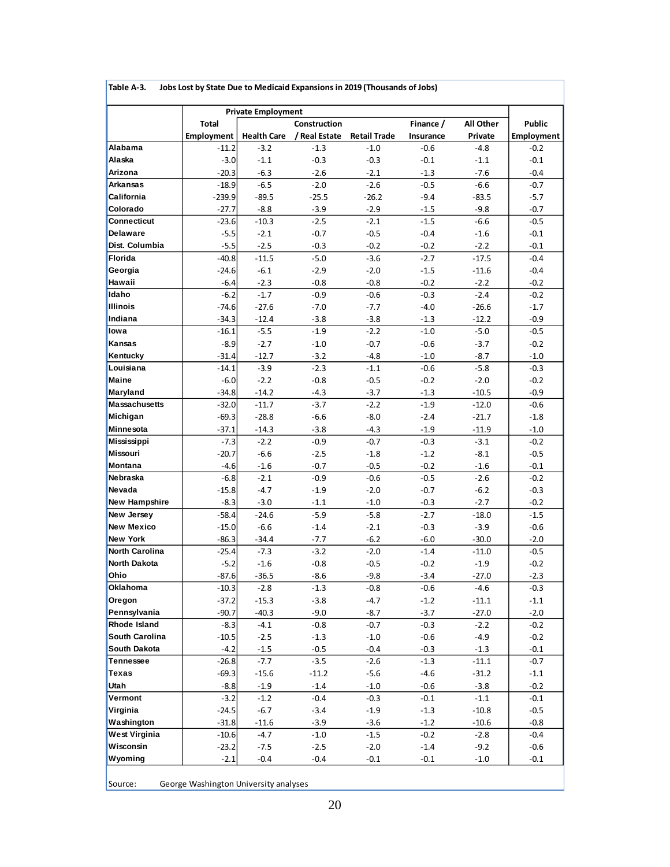|                       |              | <b>Private Employment</b> |               |                     |           |           |                   |
|-----------------------|--------------|---------------------------|---------------|---------------------|-----------|-----------|-------------------|
|                       | <b>Total</b> |                           | Construction  |                     | Finance / | All Other | Public            |
|                       | Employment   | <b>Health Care</b>        | / Real Estate | <b>Retail Trade</b> | Insurance | Private   | <b>Employment</b> |
| Alabama               | $-11.2$      | $-3.2$                    | $-1.3$        | $-1.0$              | $-0.6$    | $-4.8$    | $-0.2$            |
| Alaska                | $-3.0$       | $-1.1$                    | $-0.3$        | $-0.3$              | $-0.1$    | $-1.1$    | $-0.1$            |
| Arizona               | $-20.3$      | $-6.3$                    | $-2.6$        | $-2.1$              | $-1.3$    | $-7.6$    | $-0.4$            |
| <b>Arkansas</b>       | $-18.9$      | $-6.5$                    | $-2.0$        | $-2.6$              | $-0.5$    | $-6.6$    | $-0.7$            |
| California            | $-239.9$     | $-89.5$                   | $-25.5$       | $-26.2$             | $-9.4$    | $-83.5$   | $-5.7$            |
| Colorado              | $-27.7$      | $-8.8$                    | $-3.9$        | $-2.9$              | $-1.5$    | $-9.8$    | $-0.7$            |
| Connecticut           | $-23.6$      | $-10.3$                   | $-2.5$        | $-2.1$              | $-1.5$    | $-6.6$    | $-0.5$            |
| Delaware              | $-5.5$       | $-2.1$                    | $-0.7$        | $-0.5$              | $-0.4$    | $-1.6$    | $-0.1$            |
| Dist. Columbia        | $-5.5$       | $-2.5$                    | $-0.3$        | $-0.2$              | $-0.2$    | $-2.2$    | $-0.1$            |
| Florida               | $-40.8$      | $-11.5$                   | $-5.0$        | $-3.6$              | $-2.7$    | $-17.5$   | $-0.4$            |
| Georgia               | $-24.6$      | $-6.1$                    | $-2.9$        | $-2.0$              | $-1.5$    | $-11.6$   | $-0.4$            |
| Hawaii                | $-6.4$       | $-2.3$                    | $-0.8$        | $-0.8$              | $-0.2$    | $-2.2$    | $-0.2$            |
| Idaho                 | $-6.2$       | $-1.7$                    | $-0.9$        | $-0.6$              | $-0.3$    | $-2.4$    | $-0.2$            |
| <b>Illinois</b>       | $-74.6$      | $-27.6$                   | $-7.0$        | $-7.7$              | $-4.0$    | $-26.6$   | $-1.7$            |
| Indiana               | $-34.3$      | $-12.4$                   | $-3.8$        | $-3.8$              | $-1.3$    | $-12.2$   | $-0.9$            |
| lowa                  | $-16.1$      | $-5.5$                    | $-1.9$        | $-2.2$              | $-1.0$    | $-5.0$    | $-0.5$            |
| Kansas                | $-8.9$       | $-2.7$                    | $-1.0$        | $-0.7$              | $-0.6$    | $-3.7$    | $-0.2$            |
| Kentucky              | $-31.4$      | $-12.7$                   | $-3.2$        | $-4.8$              | $-1.0$    | $-8.7$    | $-1.0$            |
| Louisiana             | $-14.1$      | $-3.9$                    | $-2.3$        | $-1.1$              | $-0.6$    | $-5.8$    | $-0.3$            |
| <b>Maine</b>          | $-6.0$       | $-2.2$                    | $-0.8$        | $-0.5$              | $-0.2$    | $-2.0$    | $-0.2$            |
| Maryland              | $-34.8$      | $-14.2$                   | $-4.3$        | $-3.7$              | $-1.3$    | $-10.5$   | $-0.9$            |
| Massachusetts         | $-32.0$      | $-11.7$                   | $-3.7$        | $-2.2$              | $-1.9$    | $-12.0$   | $-0.6$            |
| Michigan              | $-69.3$      | $-28.8$                   | $-6.6$        | $-8.0$              | $-2.4$    | $-21.7$   | $-1.8$            |
| Minnesota             | $-37.1$      | $-14.3$                   | $-3.8$        | $-4.3$              | $-1.9$    | $-11.9$   | $-1.0$            |
| Mississippi           | $-7.3$       | $-2.2$                    | $-0.9$        | $-0.7$              | $-0.3$    | $-3.1$    | $-0.2$            |
| Missouri              | $-20.7$      | $-6.6$                    | $-2.5$        | $-1.8$              | $-1.2$    | $-8.1$    | $-0.5$            |
| Montana               | $-4.6$       | $-1.6$                    | $-0.7$        | $-0.5$              | $-0.2$    | $-1.6$    | $-0.1$            |
| Nebraska              | $-6.8$       | $-2.1$                    | $-0.9$        | $-0.6$              | $-0.5$    | $-2.6$    | $-0.2$            |
| Nevada                | $-15.8$      | $-4.7$                    | $-1.9$        | $-2.0$              | $-0.7$    | $-6.2$    | $-0.3$            |
| <b>New Hampshire</b>  | $-8.3$       | $-3.0$                    | $-1.1$        | $-1.0$              | $-0.3$    | $-2.7$    | $-0.2$            |
| New Jersey            | $-58.4$      | $-24.6$                   | $-5.9$        | $-5.8$              | $-2.7$    | $-18.0$   | $-1.5$            |
| <b>New Mexico</b>     | $-15.0$      | $-6.6$                    | $-1.4$        | $-2.1$              | $-0.3$    | $-3.9$    | $-0.6$            |
| <b>New York</b>       | $-86.3$      | $-34.4$                   | $-7.7$        | $-6.2$              | $-6.0$    | $-30.0$   | $-2.0$            |
| <b>North Carolina</b> | $-25.4$      | $-7.3$                    | $-3.2$        | $-2.0$              | $-1.4$    | $-11.0$   | $-0.5$            |
| North Dakota          | $-5.2$       | $-1.6$                    | $-0.8$        | $-0.5$              | $-0.2$    | $-1.9$    | $-0.2$            |
| Ohio                  | $-87.6$      | $-36.5$                   | $-8.6$        | $-9.8$              | $-3.4$    | $-27.0$   | $-2.3$            |
| Oklahoma              | $-10.3$      | $-2.8$                    | $-1.3$        | $-0.8$              | $-0.6$    | $-4.6$    | $-0.3$            |
| Oregon                | $-37.2$      | $-15.3$                   | $-3.8$        | $-4.7$              | $-1.2$    | $-11.1$   | $-1.1$            |
| Pennsylvania          | $-90.7$      | $-40.3$                   | $-9.0$        | $-8.7$              | $-3.7$    | $-27.0$   | $-2.0$            |
| Rhode Island          | $-8.3$       | $-4.1$                    | $-0.8$        | $-0.7$              | $-0.3$    | $-2.2$    | $-0.2$            |
| South Carolina        | $-10.5$      | $-2.5$                    | $-1.3$        | $-1.0$              | $-0.6$    | $-4.9$    | $-0.2$            |
| South Dakota          | $-4.2$       | $-1.5$                    | $-0.5$        | $-0.4$              | $-0.3$    | $-1.3$    | $-0.1$            |
| Tennessee             | $-26.8$      | $-7.7$                    | $-3.5$        | $-2.6$              | $-1.3$    | $-11.1$   | $-0.7$            |
| Texas                 | $-69.3$      | $-15.6$                   | $-11.2$       | $-5.6$              | $-4.6$    | $-31.2$   | $-1.1$            |
| Utah                  | $-8.8$       | $-1.9$                    | $-1.4$        | $-1.0$              | $-0.6$    | $-3.8$    | $-0.2$            |
| Vermont               | $-3.2$       | $-1.2$                    | $-0.4$        | $-0.3$              | $-0.1$    | $-1.1$    | $-0.1$            |
| Virginia              | $-24.5$      | $-6.7$                    | $-3.4$        | $-1.9$              | $-1.3$    | $-10.8$   | $-0.5$            |
| Washington            | $-31.8$      | $-11.6$                   | $-3.9$        | $-3.6$              | $-1.2$    | $-10.6$   | $-0.8$            |
| West Virginia         | $-10.6$      | $-4.7$                    | $-1.0$        | $-1.5$              | $-0.2$    | $-2.8$    | $-0.4$            |
| Wisconsin             | $-23.2$      | $-7.5$                    | $-2.5$        | $-2.0$              | $-1.4$    | $-9.2$    | $-0.6$            |
| Wyoming               | $-2.1$       | $-0.4$                    | $-0.4$        | $-0.1$              | $-0.1$    | $-1.0$    | $-0.1$            |

**Table A-3. Jobs Lost by State Due to Medicaid Expansions in 2019 (Thousands of Jobs)**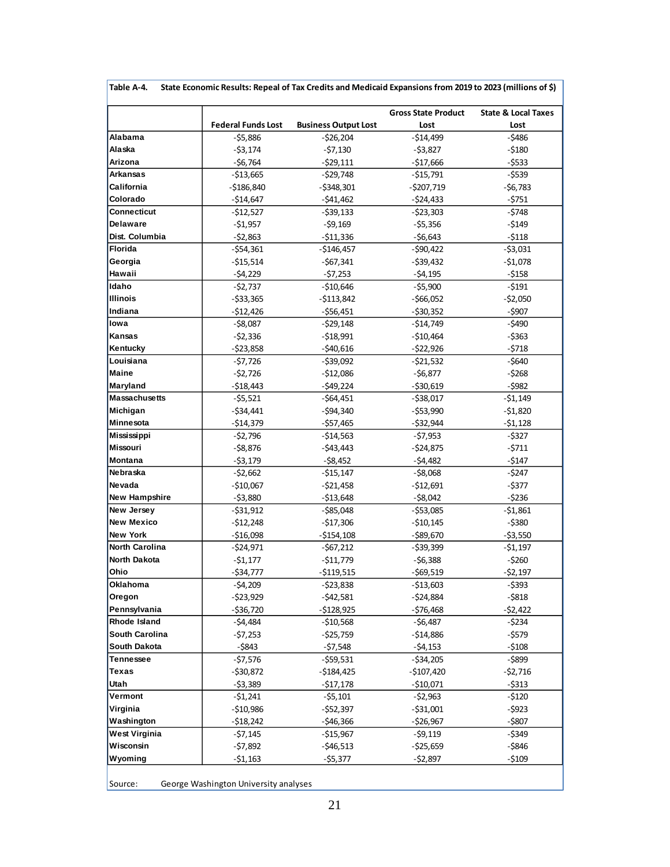|                      |                           |                             | <b>Gross State Product</b> | <b>State &amp; Local Taxes</b> |
|----------------------|---------------------------|-----------------------------|----------------------------|--------------------------------|
|                      | <b>Federal Funds Lost</b> | <b>Business Output Lost</b> | Lost                       | Lost                           |
| Alabama              | $-55,886$                 | $-526,204$                  | $-$14,499$                 | $-5486$                        |
| Alaska               | $-53,174$                 | $-57,130$                   | $-53,827$                  | $-5180$                        |
| Arizona              | $-56,764$                 | $-529,111$                  | $-$17,666$                 | $-5533$                        |
| Arkansas             | $-513,665$                | $-529,748$                  | $-515,791$                 | $-5539$                        |
| California           | $-$186,840$               | -\$348,301                  | $-5207,719$                | $-56,783$                      |
| Colorado             | $-514,647$                | $-541,462$                  | $-$ \$24,433               | $-5751$                        |
| Connecticut          | -\$12,527                 | $-539,133$                  | -\$23,303                  | $-5748$                        |
| Delaware             | -\$1,957                  | $-59,169$                   | $-55,356$                  | $-5149$                        |
| Dist. Columbia       | $-52,863$                 | $-$11,336$                  | $-56,643$                  | $-5118$                        |
| Florida              | -\$54,361                 | $-$146,457$                 | -\$90,422                  | $-53,031$                      |
| Georgia              | $-$15,514$                | $-$67,341$                  | $-539,432$                 | $-51,078$                      |
| Hawaii               | $-54,229$                 | $-57,253$                   | $-54,195$                  | $-5158$                        |
| Idaho                | -\$2,737                  | $-510,646$                  | $-55,900$                  | $-5191$                        |
| Illinois             | -\$33,365                 | $-5113,842$                 | $-566,052$                 | $-52,050$                      |
| Indiana              | $-$12,426$                | $-556,451$                  | $-530,352$                 | $-$ \$907                      |
| lowa                 | -\$8,087                  | -\$29,148                   | -\$14,749                  | $-$ \$490                      |
| Kansas               | $-52,336$                 | $-518,991$                  | $-510,464$                 | $-$ \$363                      |
| Kentucky             | $-523,858$                | $-540,616$                  | $-522,926$                 | $-5718$                        |
| Louisiana            | -\$7,726                  | $-539,092$                  | $-521,532$                 | -\$640                         |
| <b>Maine</b>         | $-52,726$                 | $-512.086$                  | $-56,877$                  | $-5268$                        |
| Maryland             | $-518,443$                | $-$ \$49,224                | $-530,619$                 | $-5982$                        |
| <b>Massachusetts</b> | $-55,521$                 | $-564,451$                  | $-538,017$                 | $-51,149$                      |
| Michigan             | $-534,441$                | $-$ \$94,340                | $-$ \$53,990               | $-51,820$                      |
| <b>Minnesota</b>     | $-514,379$                | $-$ \$57,465                | $-532,944$                 | $-51,128$                      |
| Mississippi          | -\$2,796                  | $-514,563$                  | -\$7,953                   | -\$327                         |
| Missouri             | -\$8,876                  | $-$ \$43,443                | $-524,875$                 | $-5711$                        |
| Montana              | $-53,179$                 | $-58,452$                   | $-54,482$                  | $-5147$                        |
| <b>Nebraska</b>      | -\$2,662                  | $- $15,147$                 | $-58,068$                  | $-5247$                        |
| Nevada               | $-510,067$                | $-521,458$                  | $-512,691$                 | -\$377                         |
| <b>New Hampshire</b> | $-53,880$                 | $-$13,648$                  | $-58,042$                  | $-5236$                        |
| New Jersey           | -\$31,912                 | $-585,048$                  | $-553,085$                 | $-51,861$                      |
| New Mexico           | -\$12,248                 | $-517,306$                  | $-510,145$                 | $-$ \$380                      |
| <b>New York</b>      | $-$16,098$                | $-5154,108$                 | $-$ \$89,670               | $-53,550$                      |
| North Carolina       | -\$24,971                 | -\$67,212                   | $-539,399$                 | -\$1,197                       |
| North Dakota         | $-$1,177$                 | $-511,779$                  | $-56,388$                  | $-5260$                        |
| Ohio                 | $-$34,777$                | $-$119,515$                 | $-569,519$                 | $-52,197$                      |
| Oklahoma             | -\$4,209                  | $-523,838$                  | $-513,603$                 | $-$ \$393                      |
| Oregon               | $-523,929$                | $-$ \$42,581                | $-524,884$                 | $-$ \$818                      |
| Pennsylvania         | $-$ \$36,720              | $-$128,925$                 | $-576,468$                 | -\$2,422                       |
| Rhode Island         | -\$4,484                  | $-510,568$                  | $-56,487$                  | -\$234                         |
| South Carolina       | -\$7,253                  | -\$25,759                   | -\$14,886                  | -\$579                         |
| South Dakota         | -\$843                    | $-57,548$                   | $-54,153$                  | $-5108$                        |
| Tennessee            | $-57,576$                 | -\$59,531                   | $-$ \$34,205               | -\$899                         |
| Texas                | $-530,872$                | $-$184,425$                 |                            |                                |
| Utah                 |                           |                             | -\$107,420                 | -\$2,716                       |
|                      | -\$3,389                  | $-$17,178$                  | -\$10,071                  | $-5313$                        |
| Vermont              | $-51,241$                 | -\$5,101                    | $-52,963$                  | -\$120                         |
| Virginia             | $-$10,986$                | $-$ \$52,397                | $-531,001$                 | -\$923                         |
| Washington           | $-518,242$                | $-$ \$46,366                | -\$26,967                  | $-$ \$807                      |
| West Virginia        | -\$7,145                  | $-$15,967$                  | -\$9,119                   | -\$349                         |
| Wisconsin            | -\$7,892                  | $-$ \$46,513                | -\$25,659                  | -\$846                         |
| Wyoming              | -\$1,163                  | $-$ \$5,377                 | -\$2,897                   | $-5109$                        |

**Table A-4. State Economic Results: Repeal of Tax Credits and Medicaid Expansions from 2019 to 2023 (millions of \$)**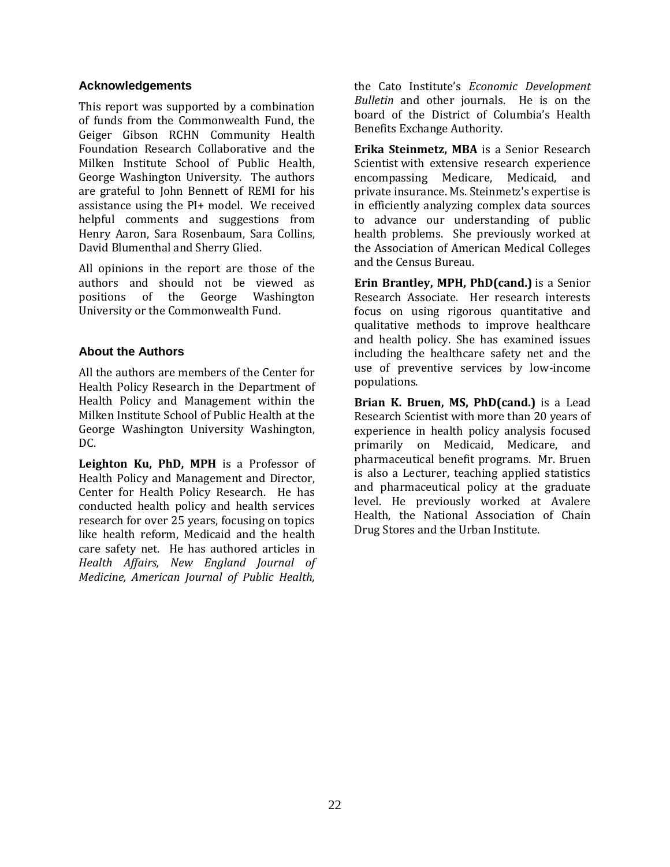#### **Acknowledgements**

This report was supported by a combination of funds from the Commonwealth Fund, the Geiger Gibson RCHN Community Health Foundation Research Collaborative and the Milken Institute School of Public Health, George Washington University. The authors are grateful to John Bennett of REMI for his assistance using the PI+ model. We received helpful comments and suggestions from Henry Aaron, Sara Rosenbaum, Sara Collins, David Blumenthal and Sherry Glied.

All opinions in the report are those of the authors and should not be viewed as positions of the George Washington University or the Commonwealth Fund.

# **About the Authors**

All the authors are members of the Center for Health Policy Research in the Department of Health Policy and Management within the Milken Institute School of Public Health at the George Washington University Washington, DC.

**Leighton Ku, PhD, MPH** is a Professor of Health Policy and Management and Director, Center for Health Policy Research. He has conducted health policy and health services research for over 25 years, focusing on topics like health reform, Medicaid and the health care safety net. He has authored articles in *Health Affairs, New England Journal of Medicine, American Journal of Public Health,*

the Cato Institute's *Economic Development Bulletin* and other journals. He is on the board of the District of Columbia's Health Benefits Exchange Authority.

**Erika Steinmetz, MBA** is a Senior Research Scientist with extensive research experience encompassing Medicare, Medicaid, and private insurance. Ms. Steinmetz's expertise is in efficiently analyzing complex data sources to advance our understanding of public health problems. She previously worked at the Association of American Medical Colleges and the Census Bureau.

**Erin Brantley, MPH, PhD(cand.)** is a Senior Research Associate. Her research interests focus on using rigorous quantitative and qualitative methods to improve healthcare and health policy. She has examined issues including the healthcare safety net and the use of preventive services by low-income populations.

**Brian K. Bruen, MS, PhD(cand.)** is a Lead Research Scientist with more than 20 years of experience in health policy analysis focused primarily on Medicaid, Medicare, and pharmaceutical benefit programs. Mr. Bruen is also a Lecturer, teaching applied statistics and pharmaceutical policy at the graduate level. He previously worked at Avalere Health, the National Association of Chain Drug Stores and the Urban Institute.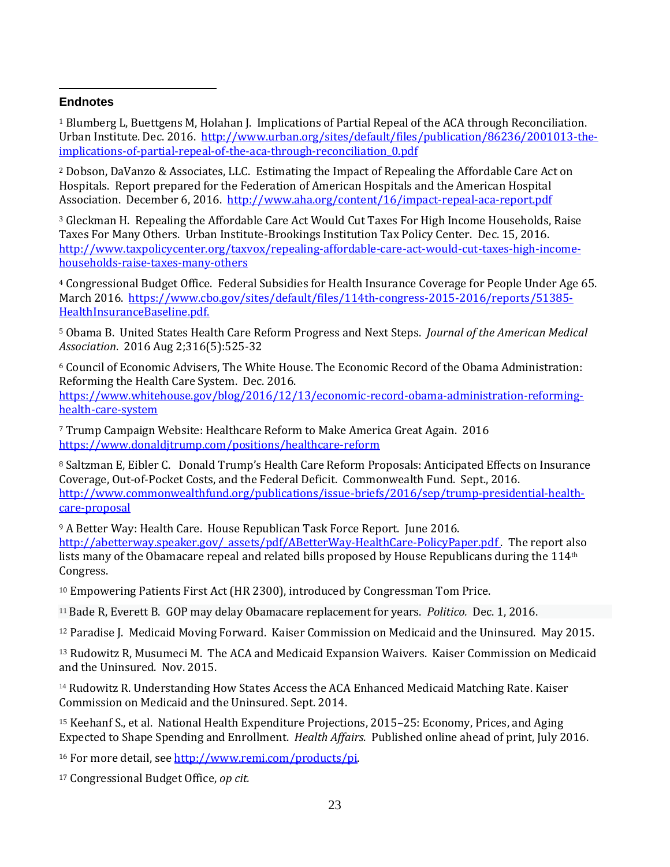#### $\overline{a}$ **Endnotes**

<sup>1</sup> Blumberg L, Buettgens M, Holahan J. Implications of Partial Repeal of the ACA through Reconciliation. Urban Institute. Dec. 2016. [http://www.urban.org/sites/default/files/publication/86236/2001013-the](http://www.urban.org/sites/default/files/publication/86236/2001013-the-implications-of-partial-repeal-of-the-aca-through-reconciliation_0.pdf)[implications-of-partial-repeal-of-the-aca-through-reconciliation\\_0.pdf](http://www.urban.org/sites/default/files/publication/86236/2001013-the-implications-of-partial-repeal-of-the-aca-through-reconciliation_0.pdf)

<sup>2</sup> Dobson, DaVanzo & Associates, LLC. Estimating the Impact of Repealing the Affordable Care Act on Hospitals. Report prepared for the Federation of American Hospitals and the American Hospital Association. December 6, 2016. <http://www.aha.org/content/16/impact-repeal-aca-report.pdf>

<sup>3</sup> Gleckman H. Repealing the Affordable Care Act Would Cut Taxes For High Income Households, Raise Taxes For Many Others. Urban Institute-Brookings Institution Tax Policy Center. Dec. 15, 2016. [http://www.taxpolicycenter.org/taxvox/repealing-affordable-care-act-would-cut-taxes-high-income](http://www.taxpolicycenter.org/taxvox/repealing-affordable-care-act-would-cut-taxes-high-income-households-raise-taxes-many-others)[households-raise-taxes-many-others](http://www.taxpolicycenter.org/taxvox/repealing-affordable-care-act-would-cut-taxes-high-income-households-raise-taxes-many-others)

<sup>4</sup> Congressional Budget Office. Federal Subsidies for Health Insurance Coverage for People Under Age 65. March 2016. [https://www.cbo.gov/sites/default/files/114th-congress-2015-2016/reports/51385-](https://www.cbo.gov/sites/default/files/114th-congress-2015-2016/reports/51385-HealthInsuranceBaseline.pdf.) [HealthInsuranceBaseline.pdf.](https://www.cbo.gov/sites/default/files/114th-congress-2015-2016/reports/51385-HealthInsuranceBaseline.pdf.) 

<sup>5</sup> Obama B. United States Health Care Reform Progress and Next Steps. *Journal of the American Medical Association*. 2016 Aug 2;316(5):525-32

<sup>6</sup> Council of Economic Advisers, The White House. The Economic Record of the Obama Administration: Reforming the Health Care System. Dec. 2016.

[https://www.whitehouse.gov/blog/2016/12/13/economic-record-obama-administration-reforming](https://www.whitehouse.gov/blog/2016/12/13/economic-record-obama-administration-reforming-health-care-system)[health-care-system](https://www.whitehouse.gov/blog/2016/12/13/economic-record-obama-administration-reforming-health-care-system)

<sup>7</sup> Trump Campaign Website: Healthcare Reform to Make America Great Again. 2016 <https://www.donaldjtrump.com/positions/healthcare-reform>

<sup>8</sup> Saltzman E, Eibler C. Donald Trump's Health Care Reform Proposals: Anticipated Effects on Insurance Coverage, Out-of-Pocket Costs, and the Federal Deficit. Commonwealth Fund. Sept., 2016. [http://www.commonwealthfund.org/publications/issue-briefs/2016/sep/trump-presidential-health](http://www.commonwealthfund.org/publications/issue-briefs/2016/sep/trump-presidential-health-care-proposal)[care-proposal](http://www.commonwealthfund.org/publications/issue-briefs/2016/sep/trump-presidential-health-care-proposal)

<sup>9</sup> A Better Way: Health Care. House Republican Task Force Report. June 2016.

[http://abetterway.speaker.gov/\\_assets/pdf/ABetterWay-HealthCare-PolicyPaper.pdf .](http://abetterway.speaker.gov/_assets/pdf/ABetterWay-HealthCare-PolicyPaper.pdf) The report also lists many of the Obamacare repeal and related bills proposed by House Republicans during the 114<sup>th</sup> Congress.

<sup>10</sup> Empowering Patients First Act (HR 2300), introduced by Congressman Tom Price.

<sup>11</sup>Bade R, Everett B. GOP may delay Obamacare replacement for years. *Politico.* Dec. 1, 2016.

<sup>12</sup> Paradise J. Medicaid Moving Forward. Kaiser Commission on Medicaid and the Uninsured. May 2015.

<sup>13</sup> Rudowitz R, Musumeci M. The ACA and Medicaid Expansion Waivers. Kaiser Commission on Medicaid and the Uninsured. Nov. 2015.

<sup>14</sup> Rudowitz R. Understanding How States Access the ACA Enhanced Medicaid Matching Rate. Kaiser Commission on Medicaid and the Uninsured. Sept. 2014.

<sup>15</sup> Keehanf S., et al. National Health Expenditure Projections, 2015–25: Economy, Prices, and Aging Expected to Shape Spending and Enrollment. *Health Affairs*. Published online ahead of print, July 2016.

<sup>16</sup> For more detail, see [http://www.remi.com/products/pi.](http://www.remi.com/products/pi)

<sup>17</sup> Congressional Budget Office, *op cit.*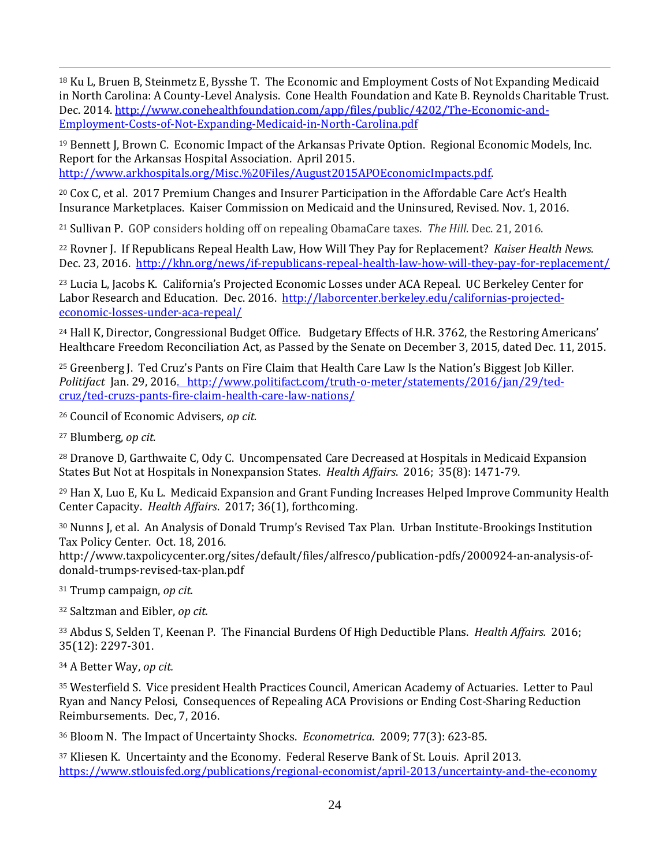<sup>18</sup> Ku L, Bruen B, Steinmetz E, Bysshe T. The Economic and Employment Costs of Not Expanding Medicaid in North Carolina: A County-Level Analysis. Cone Health Foundation and Kate B. Reynolds Charitable Trust. Dec. 2014. [http://www.conehealthfoundation.com/app/files/public/4202/The-Economic-and-](http://www.conehealthfoundation.com/app/files/public/4202/The-Economic-and-Employment-Costs-of-Not-Expanding-Medicaid-in-North-Carolina.pdf)[Employment-Costs-of-Not-Expanding-Medicaid-in-North-Carolina.pdf](http://www.conehealthfoundation.com/app/files/public/4202/The-Economic-and-Employment-Costs-of-Not-Expanding-Medicaid-in-North-Carolina.pdf)

<sup>19</sup> Bennett J, Brown C. Economic Impact of the Arkansas Private Option. Regional Economic Models, Inc. Report for the Arkansas Hospital Association. April 2015. [http://www.arkhospitals.org/Misc.%20Files/August2015APOEconomicImpacts.pdf.](http://www.arkhospitals.org/Misc.%20Files/August2015APOEconomicImpacts.pdf)

<sup>20</sup> Cox C, et al. 2017 Premium Changes and Insurer Participation in the Affordable Care Act's Health Insurance Marketplaces. Kaiser Commission on Medicaid and the Uninsured, Revised. Nov. 1, 2016.

<sup>21</sup> Sullivan P. GOP considers holding off on repealing ObamaCare taxes. *The Hill*. Dec. 21, 2016.

<sup>22</sup> Rovner J. If Republicans Repeal Health Law, How Will They Pay for Replacement? *Kaiser Health News.* Dec. 23, 2016.<http://khn.org/news/if-republicans-repeal-health-law-how-will-they-pay-for-replacement/>

<sup>23</sup> Lucia L, Jacobs K. California's Projected Economic Losses under ACA Repeal. UC Berkeley Center for Labor Research and Education. Dec. 2016. [http://laborcenter.berkeley.edu/californias-projected](http://laborcenter.berkeley.edu/californias-projected-economic-losses-under-aca-repeal/)[economic-losses-under-aca-repeal/](http://laborcenter.berkeley.edu/californias-projected-economic-losses-under-aca-repeal/)

<sup>24</sup> Hall K, Director, Congressional Budget Office. Budgetary Effects of H.R. 3762, the Restoring Americans' Healthcare Freedom Reconciliation Act, as Passed by the Senate on December 3, 2015, dated Dec. 11, 2015.

<sup>25</sup> Greenberg J. Ted Cruz's Pants on Fire Claim that Health Care Law Is the Nation's Biggest Job Killer. *Politifact* Jan. 29, 201[6. http://www.politifact.com/truth-o-meter/statements/2016/jan/29/ted](file:///C:/Users/lku.ead/Downloads/.%20%20%20http:/www.politifact.com/truth-o-meter/statements/2016/jan/29/ted-cruz/ted-cruzs-pants-fire-claim-health-care-law-nations/)[cruz/ted-cruzs-pants-fire-claim-health-care-law-nations/](file:///C:/Users/lku.ead/Downloads/.%20%20%20http:/www.politifact.com/truth-o-meter/statements/2016/jan/29/ted-cruz/ted-cruzs-pants-fire-claim-health-care-law-nations/)

<sup>26</sup> Council of Economic Advisers, *op cit.*

<sup>27</sup> Blumberg, *op cit.*

 $\overline{a}$ 

<sup>28</sup> Dranove D, Garthwaite C, Ody C. Uncompensated Care Decreased at Hospitals in Medicaid Expansion States But Not at Hospitals in Nonexpansion States. *Health Affairs*. 2016; 35(8): 1471-79.

<sup>29</sup> Han X, Luo E, Ku L. Medicaid Expansion and Grant Funding Increases Helped Improve Community Health Center Capacity. *Health Affairs*. 2017; 36(1), forthcoming.

<sup>30</sup> Nunns J, et al. An Analysis of Donald Trump's Revised Tax Plan. Urban Institute-Brookings Institution Tax Policy Center. Oct. 18, 2016.

http://www.taxpolicycenter.org/sites/default/files/alfresco/publication-pdfs/2000924-an-analysis-ofdonald-trumps-revised-tax-plan.pdf

<sup>31</sup> Trump campaign, *op cit.*

<sup>32</sup> Saltzman and Eibler, *op cit.*

<sup>33</sup> Abdus S, Selden T, Keenan P. The Financial Burdens Of High Deductible Plans. *Health Affairs.* 2016; 35(12): 2297-301.

<sup>34</sup> A Better Way, *op cit.*

<sup>35</sup> Westerfield S. Vice president Health Practices Council, American Academy of Actuaries. Letter to Paul Ryan and Nancy Pelosi, Consequences of Repealing ACA Provisions or Ending Cost-Sharing Reduction Reimbursements. Dec, 7, 2016.

<sup>36</sup> Bloom N. The Impact of Uncertainty Shocks. *Econometrica*. 2009; 77(3): 623-85.

<sup>37</sup> Kliesen K. Uncertainty and the Economy. Federal Reserve Bank of St. Louis. April 2013. <https://www.stlouisfed.org/publications/regional-economist/april-2013/uncertainty-and-the-economy>